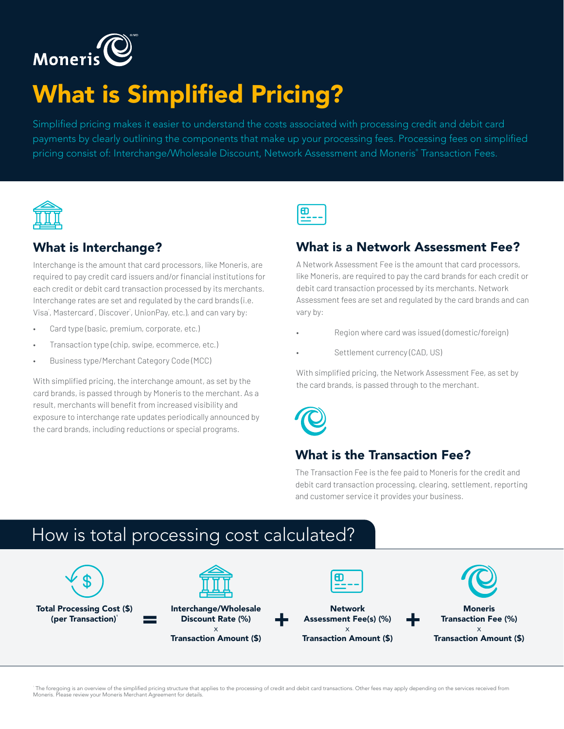

# What is Simplified Pricing?

Simplified pricing makes it easier to understand the costs associated with processing credit and debit card payments by clearly outlining the components that make up your processing fees. Processing fees on simplified pricing consist of: Interchange/Wholesale Discount, Network Assessment and Moneris® Transaction Fees.



#### What is Interchange?

Interchange is the amount that card processors, like Moneris, are required to pay credit card issuers and/or financial institutions for each credit or debit card transaction processed by its merchants. Interchange rates are set and regulated by the card brands (i.e. Visa<sup>®</sup>, Mastercard<sup>®</sup>, Discover<sup>®</sup>, UnionPay, etc.), and can vary by:

- Card type (basic, premium, corporate, etc.)
- Transaction type (chip, swipe, ecommerce, etc.)
- Business type/Merchant Category Code (MCC)

With simplified pricing, the interchange amount, as set by the card brands, is passed through by Moneris to the merchant. As a result, merchants will benefit from increased visibility and exposure to interchange rate updates periodically announced by the card brands, including reductions or special programs.



#### What is a Network Assessment Fee?

A Network Assessment Fee is the amount that card processors, like Moneris, are required to pay the card brands for each credit or debit card transaction processed by its merchants. Network Assessment fees are set and regulated by the card brands and can vary by:

- Region where card was issued (domestic/foreign)
- Settlement currency (CAD, US)

With simplified pricing, the Network Assessment Fee, as set by the card brands, is passed through to the merchant.



#### What is the Transaction Fee?

The Transaction Fee is the fee paid to Moneris for the credit and debit card transaction processing, clearing, settlement, reporting and customer service it provides your business.

### How is total processing cost calculated?



 The foregoing is an overview of the simplified pricing structure that applies to the processing of credit and debit card transactions. Other fees may apply depending on the services received from Moneris. Please review your Moneris Merchant Agreement for details.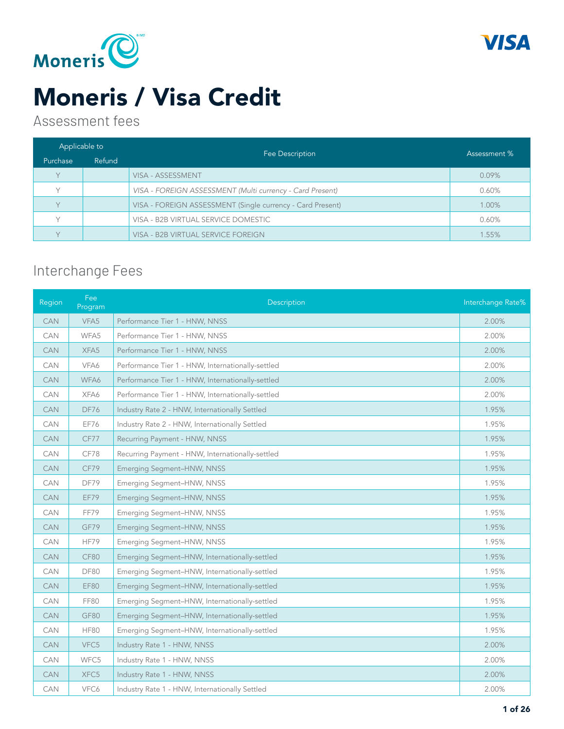



#### Assessment fees

| Applicable to |        |                                                            | Assessment % |
|---------------|--------|------------------------------------------------------------|--------------|
| Purchase      | Refund | Fee Description                                            |              |
| $\vee$        |        | VISA - ASSESSMENT                                          | $0.09\%$     |
|               |        | VISA - FOREIGN ASSESSMENT (Multi currency - Card Present)  | 0.60%        |
| $\vee$        |        | VISA - FOREIGN ASSESSMENT (Single currency - Card Present) | 1.00%        |
|               |        | VISA - B2B VIRTUAL SERVICE DOMESTIC                        | 0.60%        |
|               |        | VISA - B2B VIRTUAL SERVICE FOREIGN                         | 1.55%        |

### Interchange Fees

| Region     | Fee<br>Program | Description                                       | Interchange Rate% |
|------------|----------------|---------------------------------------------------|-------------------|
| <b>CAN</b> | VFA5           | Performance Tier 1 - HNW, NNSS                    | 2.00%             |
| <b>CAN</b> | WFA5           | Performance Tier 1 - HNW, NNSS                    | 2.00%             |
| <b>CAN</b> | XFA5           | Performance Tier 1 - HNW, NNSS                    | 2.00%             |
| CAN        | VFA6           | Performance Tier 1 - HNW, Internationally-settled | 2.00%             |
| <b>CAN</b> | WFA6           | Performance Tier 1 - HNW, Internationally-settled | 2.00%             |
| <b>CAN</b> | XFA6           | Performance Tier 1 - HNW, Internationally-settled | 2.00%             |
| CAN        | <b>DF76</b>    | Industry Rate 2 - HNW, Internationally Settled    | 1.95%             |
| <b>CAN</b> | EF76           | Industry Rate 2 - HNW, Internationally Settled    | 1.95%             |
| <b>CAN</b> | CF77           | Recurring Payment - HNW, NNSS                     | 1.95%             |
| CAN        | CF78           | Recurring Payment - HNW, Internationally-settled  | 1.95%             |
| <b>CAN</b> | CF79           | Emerging Segment-HNW, NNSS                        | 1.95%             |
| CAN        | DF79           | Emerging Segment-HNW, NNSS                        | 1.95%             |
| <b>CAN</b> | EF79           | Emerging Segment-HNW, NNSS                        | 1.95%             |
| CAN        | FF79           | Emerging Segment-HNW, NNSS                        | 1.95%             |
| <b>CAN</b> | GF79           | Emerging Segment-HNW, NNSS                        | 1.95%             |
| <b>CAN</b> | HF79           | Emerging Segment-HNW, NNSS                        | 1.95%             |
| <b>CAN</b> | CF80           | Emerging Segment-HNW, Internationally-settled     | 1.95%             |
| <b>CAN</b> | <b>DF80</b>    | Emerging Segment-HNW, Internationally-settled     | 1.95%             |
| <b>CAN</b> | <b>EF80</b>    | Emerging Segment-HNW, Internationally-settled     | 1.95%             |
| <b>CAN</b> | <b>FF80</b>    | Emerging Segment-HNW, Internationally-settled     | 1.95%             |
| <b>CAN</b> | GF80           | Emerging Segment-HNW, Internationally-settled     | 1.95%             |
| <b>CAN</b> | <b>HF80</b>    | Emerging Segment-HNW, Internationally-settled     | 1.95%             |
| <b>CAN</b> | VFC5           | Industry Rate 1 - HNW, NNSS                       | 2.00%             |
| CAN        | WFC5           | Industry Rate 1 - HNW, NNSS                       | 2.00%             |
| <b>CAN</b> | XFC5           | Industry Rate 1 - HNW, NNSS                       | 2.00%             |
| CAN        | VFC6           | Industry Rate 1 - HNW, Internationally Settled    | 2.00%             |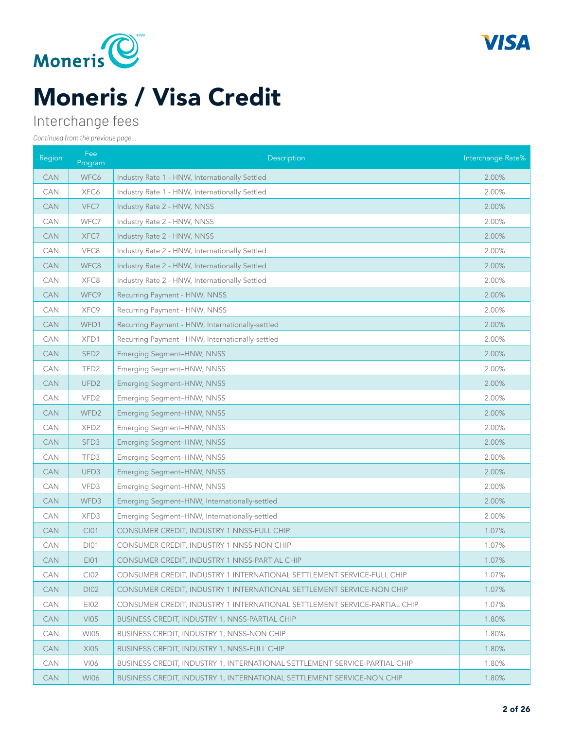



### Interchange fees

| Region     | Fee<br>Program   | Description                                                                | Interchange Rate% |
|------------|------------------|----------------------------------------------------------------------------|-------------------|
| <b>CAN</b> | WFC6             | Industry Rate 1 - HNW, Internationally Settled                             | 2.00%             |
| <b>CAN</b> | XFC6             | Industry Rate 1 - HNW, Internationally Settled                             | 2.00%             |
| <b>CAN</b> | VFC7             | Industry Rate 2 - HNW, NNSS                                                | 2.00%             |
| CAN        | WFC7             | Industry Rate 2 - HNW, NNSS                                                | 2.00%             |
| <b>CAN</b> | XFC7             | Industry Rate 2 - HNW, NNSS                                                | 2.00%             |
| <b>CAN</b> | VFC8             | Industry Rate 2 - HNW, Internationally Settled                             | 2.00%             |
| <b>CAN</b> | WFC8             | Industry Rate 2 - HNW, Internationally Settled                             | 2.00%             |
| <b>CAN</b> | XFC8             | Industry Rate 2 - HNW, Internationally Settled                             | 2.00%             |
| <b>CAN</b> | WFC9             | Recurring Payment - HNW, NNSS                                              | 2.00%             |
| CAN        | XFC9             | Recurring Payment - HNW, NNSS                                              | 2.00%             |
| <b>CAN</b> | WFD1             | Recurring Payment - HNW, Internationally-settled                           | 2.00%             |
| <b>CAN</b> | XFD1             | Recurring Payment - HNW, Internationally-settled                           | 2.00%             |
| <b>CAN</b> | SFD <sub>2</sub> | Emerging Segment-HNW, NNSS                                                 | 2.00%             |
| <b>CAN</b> | TFD <sub>2</sub> | Emerging Segment-HNW, NNSS                                                 | 2.00%             |
| <b>CAN</b> | UFD <sub>2</sub> | Emerging Segment-HNW, NNSS                                                 | 2.00%             |
| CAN        | VFD <sub>2</sub> | Emerging Segment-HNW, NNSS                                                 | 2.00%             |
| <b>CAN</b> | WFD <sub>2</sub> | Emerging Segment-HNW, NNSS                                                 | 2.00%             |
| <b>CAN</b> | XFD <sub>2</sub> | Emerging Segment-HNW, NNSS                                                 | 2.00%             |
| <b>CAN</b> | SFD <sub>3</sub> | Emerging Segment-HNW, NNSS                                                 | 2.00%             |
| <b>CAN</b> | TFD3             | Emerging Segment-HNW, NNSS                                                 | 2.00%             |
| <b>CAN</b> | UFD <sub>3</sub> | Emerging Segment-HNW, NNSS                                                 | 2.00%             |
| CAN        | VFD3             | Emerging Segment-HNW, NNSS                                                 | 2.00%             |
| <b>CAN</b> | WFD3             | Emerging Segment-HNW, Internationally-settled                              | 2.00%             |
| <b>CAN</b> | XFD3             | Emerging Segment-HNW, Internationally-settled                              | 2.00%             |
| <b>CAN</b> | C101             | CONSUMER CREDIT, INDUSTRY 1 NNSS-FULL CHIP                                 | 1.07%             |
| <b>CAN</b> | <b>DI01</b>      | CONSUMER CREDIT, INDUSTRY 1 NNSS-NON CHIP                                  | 1.07%             |
| CAN        | EI01             | CONSUMER CREDIT, INDUSTRY 1 NNSS-PARTIAL CHIP                              | 1.07%             |
| <b>CAN</b> | CI02             | CONSUMER CREDIT, INDUSTRY 1 INTERNATIONAL SETTLEMENT SERVICE-FULL CHIP     | 1.07%             |
| <b>CAN</b> | DI02             | CONSUMER CREDIT, INDUSTRY 1 INTERNATIONAL SETTLEMENT SERVICE-NON CHIP      | 1.07%             |
| <b>CAN</b> | EI02             | CONSUMER CREDIT, INDUSTRY 1 INTERNATIONAL SETTLEMENT SERVICE-PARTIAL CHIP  | 1.07%             |
| <b>CAN</b> | V105             | BUSINESS CREDIT, INDUSTRY 1, NNSS-PARTIAL CHIP                             | 1.80%             |
| CAN        | <b>WI05</b>      | <b>BUSINESS CREDIT, INDUSTRY 1, NNSS-NON CHIP</b>                          | 1.80%             |
| <b>CAN</b> | XI05             | BUSINESS CREDIT, INDUSTRY 1, NNSS-FULL CHIP                                | 1.80%             |
| CAN        | VI06             | BUSINESS CREDIT, INDUSTRY 1, INTERNATIONAL SETTLEMENT SERVICE-PARTIAL CHIP | 1.80%             |
| <b>CAN</b> | <b>WI06</b>      | BUSINESS CREDIT, INDUSTRY 1, INTERNATIONAL SETTLEMENT SERVICE-NON CHIP     | 1.80%             |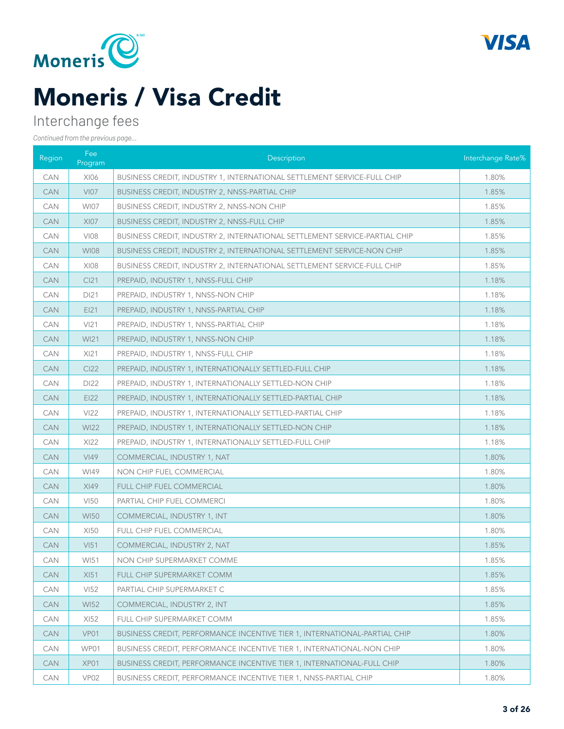



### Interchange fees

| Region     | Fee<br>Program   | Description                                                                   | Interchange Rate% |
|------------|------------------|-------------------------------------------------------------------------------|-------------------|
| <b>CAN</b> | XI06             | BUSINESS CREDIT, INDUSTRY 1, INTERNATIONAL SETTLEMENT SERVICE-FULL CHIP       | 1.80%             |
| <b>CAN</b> | V107             | BUSINESS CREDIT, INDUSTRY 2, NNSS-PARTIAL CHIP                                | 1.85%             |
| CAN        | <b>WI07</b>      | BUSINESS CREDIT, INDUSTRY 2, NNSS-NON CHIP                                    | 1.85%             |
| <b>CAN</b> | <b>XI07</b>      | <b>BUSINESS CREDIT, INDUSTRY 2, NNSS-FULL CHIP</b>                            | 1.85%             |
| <b>CAN</b> | VI08             | BUSINESS CREDIT, INDUSTRY 2, INTERNATIONAL SETTLEMENT SERVICE-PARTIAL CHIP    | 1.85%             |
| <b>CAN</b> | <b>WI08</b>      | BUSINESS CREDIT, INDUSTRY 2, INTERNATIONAL SETTLEMENT SERVICE-NON CHIP        | 1.85%             |
| <b>CAN</b> | XI08             | BUSINESS CREDIT, INDUSTRY 2, INTERNATIONAL SETTLEMENT SERVICE-FULL CHIP       | 1.85%             |
| <b>CAN</b> | Cl <sub>21</sub> | PREPAID, INDUSTRY 1, NNSS-FULL CHIP                                           | 1.18%             |
| <b>CAN</b> | DI21             | PREPAID, INDUSTRY 1, NNSS-NON CHIP                                            | 1.18%             |
| <b>CAN</b> | E121             | PREPAID, INDUSTRY 1, NNSS-PARTIAL CHIP                                        | 1.18%             |
| <b>CAN</b> | V <sub>121</sub> | PREPAID, INDUSTRY 1, NNSS-PARTIAL CHIP                                        | 1.18%             |
| <b>CAN</b> | <b>WI21</b>      | PREPAID, INDUSTRY 1, NNSS-NON CHIP                                            | 1.18%             |
| <b>CAN</b> | X <sub>121</sub> | PREPAID, INDUSTRY 1, NNSS-FULL CHIP                                           | 1.18%             |
| <b>CAN</b> | CI22             | PREPAID, INDUSTRY 1, INTERNATIONALLY SETTLED-FULL CHIP                        | 1.18%             |
| <b>CAN</b> | DI22             | PREPAID, INDUSTRY 1, INTERNATIONALLY SETTLED-NON CHIP                         | 1.18%             |
| <b>CAN</b> | E122             | PREPAID, INDUSTRY 1, INTERNATIONALLY SETTLED-PARTIAL CHIP                     | 1.18%             |
| <b>CAN</b> | V <sub>122</sub> | PREPAID, INDUSTRY 1, INTERNATIONALLY SETTLED-PARTIAL CHIP                     | 1.18%             |
| <b>CAN</b> | <b>WI22</b>      | PREPAID, INDUSTRY 1, INTERNATIONALLY SETTLED-NON CHIP                         | 1.18%             |
| <b>CAN</b> | XI22             | PREPAID, INDUSTRY 1, INTERNATIONALLY SETTLED-FULL CHIP                        | 1.18%             |
| <b>CAN</b> | <b>VI49</b>      | COMMERCIAL, INDUSTRY 1, NAT                                                   | 1.80%             |
| <b>CAN</b> | WI49             | NON CHIP FUEL COMMERCIAL                                                      | 1.80%             |
| <b>CAN</b> | XI49             | FULL CHIP FUEL COMMERCIAL                                                     | 1.80%             |
| <b>CAN</b> | VI50             | PARTIAL CHIP FUEL COMMERCI                                                    | 1.80%             |
| <b>CAN</b> | <b>WI50</b>      | COMMERCIAL, INDUSTRY 1, INT                                                   | 1.80%             |
| <b>CAN</b> | XI50             | FULL CHIP FUEL COMMERCIAL                                                     | 1.80%             |
| <b>CAN</b> | V <sub>151</sub> | COMMERCIAL, INDUSTRY 2, NAT                                                   | 1.85%             |
| CAN        | WI51             | NON CHIP SUPERMARKET COMME                                                    | 1.85%             |
| CAN        | XI51             | FULL CHIP SUPERMARKET COMM                                                    | 1.85%             |
| <b>CAN</b> | <b>VI52</b>      | PARTIAL CHIP SUPERMARKET C                                                    | 1.85%             |
| <b>CAN</b> | <b>WI52</b>      | COMMERCIAL, INDUSTRY 2, INT                                                   | 1.85%             |
| CAN        | XI52             | FULL CHIP SUPERMARKET COMM                                                    | 1.85%             |
| <b>CAN</b> | VP01             | BUSINESS CREDIT, PERFORMANCE INCENTIVE TIER 1, INTERNATIONAL-PARTIAL CHIP     | 1.80%             |
| <b>CAN</b> | WP01             | BUSINESS CREDIT, PERFORMANCE INCENTIVE TIER 1, INTERNATIONAL-NON CHIP         | 1.80%             |
| <b>CAN</b> | XP01             | <b>BUSINESS CREDIT, PERFORMANCE INCENTIVE TIER 1, INTERNATIONAL-FULL CHIP</b> | 1.80%             |
| CAN        | VP02             | BUSINESS CREDIT, PERFORMANCE INCENTIVE TIER 1, NNSS-PARTIAL CHIP              | 1.80%             |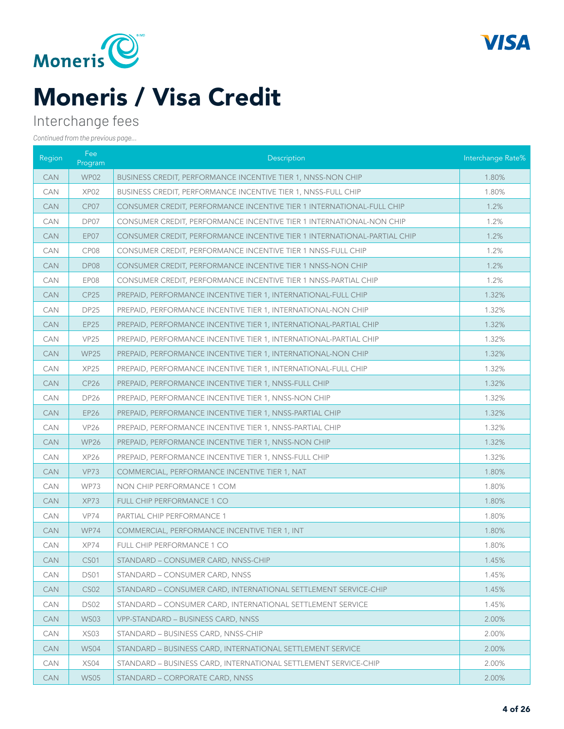



### Interchange fees

| Region     | Fee<br>Program   | Description                                                              | Interchange Rate% |
|------------|------------------|--------------------------------------------------------------------------|-------------------|
| <b>CAN</b> | WP02             | BUSINESS CREDIT, PERFORMANCE INCENTIVE TIER 1, NNSS-NON CHIP             | 1.80%             |
| <b>CAN</b> | XP <sub>02</sub> | BUSINESS CREDIT, PERFORMANCE INCENTIVE TIER 1, NNSS-FULL CHIP            | 1.80%             |
| <b>CAN</b> | CP07             | CONSUMER CREDIT, PERFORMANCE INCENTIVE TIER 1 INTERNATIONAL-FULL CHIP    | 1.2%              |
| <b>CAN</b> | DP07             | CONSUMER CREDIT, PERFORMANCE INCENTIVE TIER 1 INTERNATIONAL-NON CHIP     | 1.2%              |
| <b>CAN</b> | EP07             | CONSUMER CREDIT, PERFORMANCE INCENTIVE TIER 1 INTERNATIONAL-PARTIAL CHIP | 1.2%              |
| <b>CAN</b> | CP08             | CONSUMER CREDIT, PERFORMANCE INCENTIVE TIER 1 NNSS-FULL CHIP             | 1.2%              |
| <b>CAN</b> | DP08             | CONSUMER CREDIT, PERFORMANCE INCENTIVE TIER 1 NNSS-NON CHIP              | 1.2%              |
| <b>CAN</b> | EP08             | CONSUMER CREDIT, PERFORMANCE INCENTIVE TIER 1 NNSS-PARTIAL CHIP          | 1.2%              |
| <b>CAN</b> | <b>CP25</b>      | PREPAID, PERFORMANCE INCENTIVE TIER 1, INTERNATIONAL-FULL CHIP           | 1.32%             |
| <b>CAN</b> | <b>DP25</b>      | PREPAID, PERFORMANCE INCENTIVE TIER 1, INTERNATIONAL-NON CHIP            | 1.32%             |
| <b>CAN</b> | <b>EP25</b>      | PREPAID, PERFORMANCE INCENTIVE TIER 1, INTERNATIONAL-PARTIAL CHIP        | 1.32%             |
| <b>CAN</b> | <b>VP25</b>      | PREPAID, PERFORMANCE INCENTIVE TIER 1, INTERNATIONAL-PARTIAL CHIP        | 1.32%             |
| <b>CAN</b> | <b>WP25</b>      | PREPAID, PERFORMANCE INCENTIVE TIER 1, INTERNATIONAL-NON CHIP            | 1.32%             |
| <b>CAN</b> | XP <sub>25</sub> | PREPAID, PERFORMANCE INCENTIVE TIER 1, INTERNATIONAL-FULL CHIP           | 1.32%             |
| <b>CAN</b> | <b>CP26</b>      | PREPAID, PERFORMANCE INCENTIVE TIER 1, NNSS-FULL CHIP                    | 1.32%             |
| <b>CAN</b> | <b>DP26</b>      | PREPAID, PERFORMANCE INCENTIVE TIER 1, NNSS-NON CHIP                     | 1.32%             |
| <b>CAN</b> | <b>EP26</b>      | PREPAID, PERFORMANCE INCENTIVE TIER 1, NNSS-PARTIAL CHIP                 | 1.32%             |
| <b>CAN</b> | <b>VP26</b>      | PREPAID, PERFORMANCE INCENTIVE TIER 1, NNSS-PARTIAL CHIP                 | 1.32%             |
| <b>CAN</b> | <b>WP26</b>      | PREPAID, PERFORMANCE INCENTIVE TIER 1, NNSS-NON CHIP                     | 1.32%             |
| <b>CAN</b> | XP <sub>26</sub> | PREPAID, PERFORMANCE INCENTIVE TIER 1, NNSS-FULL CHIP                    | 1.32%             |
| <b>CAN</b> | <b>VP73</b>      | COMMERCIAL, PERFORMANCE INCENTIVE TIER 1, NAT                            | 1.80%             |
| <b>CAN</b> | <b>WP73</b>      | NON CHIP PERFORMANCE 1 COM                                               | 1.80%             |
| <b>CAN</b> | XP73             | FULL CHIP PERFORMANCE 1 CO                                               | 1.80%             |
| <b>CAN</b> | VP74             | PARTIAL CHIP PERFORMANCE 1                                               | 1.80%             |
| <b>CAN</b> | <b>WP74</b>      | COMMERCIAL, PERFORMANCE INCENTIVE TIER 1, INT                            | 1.80%             |
| <b>CAN</b> | XP74             | FULL CHIP PERFORMANCE 1 CO                                               | 1.80%             |
| <b>CAN</b> | CS01             | STANDARD - CONSUMER CARD, NNSS-CHIP                                      | 1.45%             |
| <b>CAN</b> | DS01             | STANDARD - CONSUMER CARD, NNSS                                           | 1.45%             |
| <b>CAN</b> | <b>CS02</b>      | STANDARD – CONSUMER CARD, INTERNATIONAL SETTLEMENT SERVICE-CHIP          | 1.45%             |
| CAN        | DS02             | STANDARD – CONSUMER CARD, INTERNATIONAL SETTLEMENT SERVICE               | 1.45%             |
| <b>CAN</b> | <b>WS03</b>      | VPP-STANDARD - BUSINESS CARD, NNSS                                       | 2.00%             |
| <b>CAN</b> | XS <sub>03</sub> | STANDARD - BUSINESS CARD, NNSS-CHIP                                      | 2.00%             |
| <b>CAN</b> | <b>WS04</b>      | STANDARD - BUSINESS CARD, INTERNATIONAL SETTLEMENT SERVICE               | 2.00%             |
| <b>CAN</b> | XS <sub>04</sub> | STANDARD – BUSINESS CARD, INTERNATIONAL SETTLEMENT SERVICE-CHIP          | 2.00%             |
| <b>CAN</b> | <b>WS05</b>      | STANDARD - CORPORATE CARD, NNSS                                          | 2.00%             |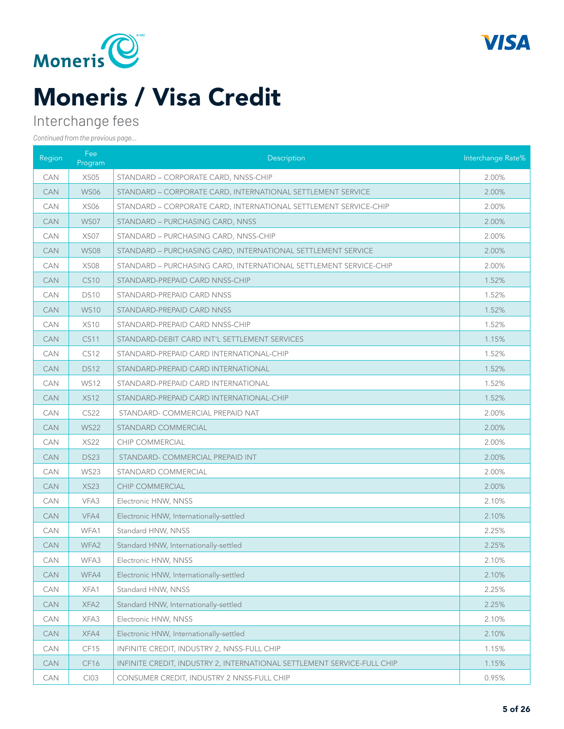



### Interchange fees

| Region     | Fee<br>Program   | Description                                                             | Interchange Rate% |
|------------|------------------|-------------------------------------------------------------------------|-------------------|
| <b>CAN</b> | XS05             | STANDARD - CORPORATE CARD, NNSS-CHIP                                    | 2.00%             |
| <b>CAN</b> | <b>WS06</b>      | STANDARD - CORPORATE CARD, INTERNATIONAL SETTLEMENT SERVICE             | 2.00%             |
| CAN        | <b>XS06</b>      | STANDARD - CORPORATE CARD, INTERNATIONAL SETTLEMENT SERVICE-CHIP        | 2.00%             |
| CAN        | <b>WS07</b>      | STANDARD - PURCHASING CARD, NNSS                                        | 2.00%             |
| <b>CAN</b> | XS <sub>07</sub> | STANDARD - PURCHASING CARD, NNSS-CHIP                                   | 2.00%             |
| <b>CAN</b> | <b>WS08</b>      | STANDARD - PURCHASING CARD, INTERNATIONAL SETTLEMENT SERVICE            | 2.00%             |
| <b>CAN</b> | <b>XS08</b>      | STANDARD - PURCHASING CARD, INTERNATIONAL SETTLEMENT SERVICE-CHIP       | 2.00%             |
| <b>CAN</b> | <b>CS10</b>      | STANDARD-PREPAID CARD NNSS-CHIP                                         | 1.52%             |
| CAN        | <b>DS10</b>      | STANDARD-PREPAID CARD NNSS                                              | 1.52%             |
| CAN        | <b>WS10</b>      | STANDARD-PREPAID CARD NNSS                                              | 1.52%             |
| <b>CAN</b> | <b>XS10</b>      | STANDARD-PREPAID CARD NNSS-CHIP                                         | 1.52%             |
| <b>CAN</b> | <b>CS11</b>      | STANDARD-DEBIT CARD INT'L SETTLEMENT SERVICES                           | 1.15%             |
| <b>CAN</b> | <b>CS12</b>      | STANDARD-PREPAID CARD INTERNATIONAL-CHIP                                | 1.52%             |
| <b>CAN</b> | <b>DS12</b>      | STANDARD-PREPAID CARD INTERNATIONAL                                     | 1.52%             |
| CAN        | <b>WS12</b>      | STANDARD-PREPAID CARD INTERNATIONAL                                     | 1.52%             |
| CAN        | <b>XS12</b>      | STANDARD-PREPAID CARD INTERNATIONAL-CHIP                                | 1.52%             |
| <b>CAN</b> | <b>CS22</b>      | STANDARD- COMMERCIAL PREPAID NAT                                        | 2.00%             |
| <b>CAN</b> | <b>WS22</b>      | STANDARD COMMERCIAL                                                     | 2.00%             |
| <b>CAN</b> | <b>XS22</b>      | <b>CHIP COMMERCIAL</b>                                                  | 2.00%             |
| <b>CAN</b> | <b>DS23</b>      | STANDARD- COMMERCIAL PREPAID INT                                        | 2.00%             |
| CAN        | <b>WS23</b>      | STANDARD COMMERCIAL                                                     | 2.00%             |
| <b>CAN</b> | <b>XS23</b>      | CHIP COMMERCIAL                                                         | 2.00%             |
| <b>CAN</b> | VFA3             | Electronic HNW, NNSS                                                    | 2.10%             |
| <b>CAN</b> | VFA4             | Electronic HNW, Internationally-settled                                 | 2.10%             |
| <b>CAN</b> | WFA1             | Standard HNW, NNSS                                                      | 2.25%             |
| <b>CAN</b> | WFA <sub>2</sub> | Standard HNW, Internationally-settled                                   | 2.25%             |
| CAN        | WFA3             | Electronic HNW, NNSS                                                    | 2.10%             |
| <b>CAN</b> | WFA4             | Electronic HNW, Internationally-settled                                 | 2.10%             |
| CAN        | XFA1             | Standard HNW, NNSS                                                      | 2.25%             |
| <b>CAN</b> | XFA2             | Standard HNW, Internationally-settled                                   | 2.25%             |
| CAN        | XFA3             | Electronic HNW, NNSS                                                    | 2.10%             |
| <b>CAN</b> | XFA4             | Electronic HNW, Internationally-settled                                 | 2.10%             |
| CAN        | CF15             | INFINITE CREDIT, INDUSTRY 2, NNSS-FULL CHIP                             | 1.15%             |
| <b>CAN</b> | CF <sub>16</sub> | INFINITE CREDIT, INDUSTRY 2, INTERNATIONAL SETTLEMENT SERVICE-FULL CHIP | 1.15%             |
| CAN        | CI03             | CONSUMER CREDIT, INDUSTRY 2 NNSS-FULL CHIP                              | 0.95%             |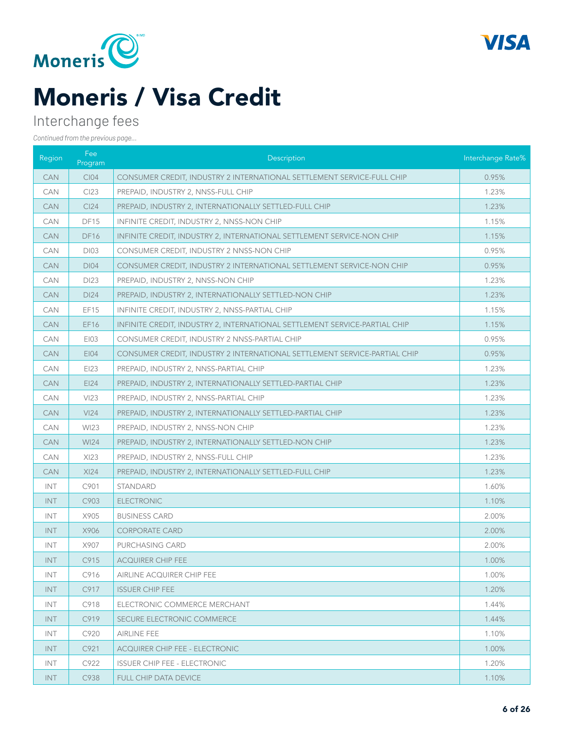



### Interchange fees

| Region     | Fee<br>Program   | Description                                                                | Interchange Rate% |
|------------|------------------|----------------------------------------------------------------------------|-------------------|
| <b>CAN</b> | <b>CI04</b>      | CONSUMER CREDIT, INDUSTRY 2 INTERNATIONAL SETTLEMENT SERVICE-FULL CHIP     | 0.95%             |
| <b>CAN</b> | CI23             | PREPAID, INDUSTRY 2, NNSS-FULL CHIP                                        | 1.23%             |
| <b>CAN</b> | Cl <sub>24</sub> | PREPAID, INDUSTRY 2, INTERNATIONALLY SETTLED-FULL CHIP                     | 1.23%             |
| <b>CAN</b> | DF15             | INFINITE CREDIT, INDUSTRY 2, NNSS-NON CHIP                                 | 1.15%             |
| <b>CAN</b> | <b>DF16</b>      | INFINITE CREDIT, INDUSTRY 2, INTERNATIONAL SETTLEMENT SERVICE-NON CHIP     | 1.15%             |
| <b>CAN</b> | <b>DI03</b>      | CONSUMER CREDIT, INDUSTRY 2 NNSS-NON CHIP                                  | 0.95%             |
| <b>CAN</b> | <b>DI04</b>      | CONSUMER CREDIT, INDUSTRY 2 INTERNATIONAL SETTLEMENT SERVICE-NON CHIP      | 0.95%             |
| <b>CAN</b> | DI23             | PREPAID, INDUSTRY 2, NNSS-NON CHIP                                         | 1.23%             |
| <b>CAN</b> | DI24             | PREPAID, INDUSTRY 2, INTERNATIONALLY SETTLED-NON CHIP                      | 1.23%             |
| <b>CAN</b> | EF15             | INFINITE CREDIT, INDUSTRY 2, NNSS-PARTIAL CHIP                             | 1.15%             |
| <b>CAN</b> | EF16             | INFINITE CREDIT, INDUSTRY 2, INTERNATIONAL SETTLEMENT SERVICE-PARTIAL CHIP | 1.15%             |
| <b>CAN</b> | EI03             | CONSUMER CREDIT, INDUSTRY 2 NNSS-PARTIAL CHIP                              | 0.95%             |
| <b>CAN</b> | <b>EI04</b>      | CONSUMER CREDIT, INDUSTRY 2 INTERNATIONAL SETTLEMENT SERVICE-PARTIAL CHIP  | 0.95%             |
| <b>CAN</b> | EI23             | PREPAID, INDUSTRY 2, NNSS-PARTIAL CHIP                                     | 1.23%             |
| <b>CAN</b> | EI24             | PREPAID, INDUSTRY 2, INTERNATIONALLY SETTLED-PARTIAL CHIP                  | 1.23%             |
| <b>CAN</b> | V123             | PREPAID, INDUSTRY 2, NNSS-PARTIAL CHIP                                     | 1.23%             |
| <b>CAN</b> | VI24             | PREPAID, INDUSTRY 2, INTERNATIONALLY SETTLED-PARTIAL CHIP                  | 1.23%             |
| <b>CAN</b> | <b>WI23</b>      | PREPAID, INDUSTRY 2, NNSS-NON CHIP                                         | 1.23%             |
| <b>CAN</b> | <b>WI24</b>      | PREPAID, INDUSTRY 2, INTERNATIONALLY SETTLED-NON CHIP                      | 1.23%             |
| <b>CAN</b> | XI23             | PREPAID, INDUSTRY 2, NNSS-FULL CHIP                                        | 1.23%             |
| <b>CAN</b> | XI24             | PREPAID, INDUSTRY 2, INTERNATIONALLY SETTLED-FULL CHIP                     | 1.23%             |
| <b>INT</b> | C901             | <b>STANDARD</b>                                                            | 1.60%             |
| <b>INT</b> | C903             | <b>ELECTRONIC</b>                                                          | 1.10%             |
| <b>INT</b> | X905             | <b>BUSINESS CARD</b>                                                       | 2.00%             |
| <b>INT</b> | X906             | <b>CORPORATE CARD</b>                                                      | 2.00%             |
| <b>INT</b> | X907             | PURCHASING CARD                                                            | 2.00%             |
| INT        | C915             | <b>ACQUIRER CHIP FEE</b>                                                   | 1.00%             |
| INT.       | C916             | AIRLINE ACQUIRER CHIP FEE                                                  | 1.00%             |
| INT.       | C917             | <b>ISSUER CHIP FEE</b>                                                     | 1.20%             |
| INT.       | C918             | ELECTRONIC COMMERCE MERCHANT                                               | 1.44%             |
| INT.       | C919             | SECURE ELECTRONIC COMMERCE                                                 | 1.44%             |
| INT.       | C920             | AIRLINE FEE                                                                | 1.10%             |
| INT.       | C921             | <b>ACQUIRER CHIP FEE - ELECTRONIC</b>                                      | 1.00%             |
| INT.       | C922             | <b>ISSUER CHIP FEE - ELECTRONIC</b>                                        | 1.20%             |
| INT.       | C938             | <b>FULL CHIP DATA DEVICE</b>                                               | 1.10%             |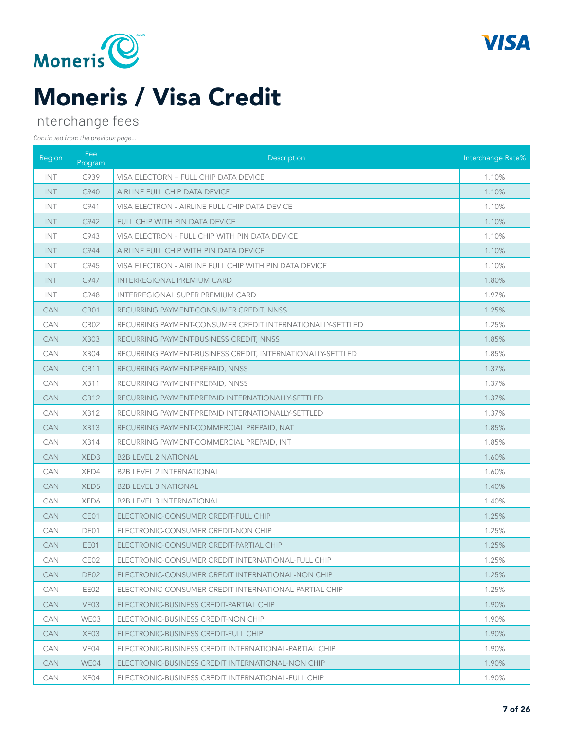



### Interchange fees

| Region     | Fee<br>Program   | Description                                                | Interchange Rate% |
|------------|------------------|------------------------------------------------------------|-------------------|
| <b>INT</b> | C939             | VISA ELECTORN - FULL CHIP DATA DEVICE                      | 1.10%             |
| <b>INT</b> | C940             | AIRLINE FULL CHIP DATA DEVICE                              | 1.10%             |
| <b>INT</b> | C941             | VISA ELECTRON - AIRLINE FULL CHIP DATA DEVICE              | 1.10%             |
| <b>INT</b> | C942             | FULL CHIP WITH PIN DATA DEVICE                             | 1.10%             |
| <b>INT</b> | C943             | VISA ELECTRON - FULL CHIP WITH PIN DATA DEVICE             | 1.10%             |
| INT        | C944             | AIRLINE FULL CHIP WITH PIN DATA DEVICE                     | 1.10%             |
| INT        | C945             | VISA ELECTRON - AIRLINE FULL CHIP WITH PIN DATA DEVICE     | 1.10%             |
| <b>INT</b> | C947             | <b>INTERREGIONAL PREMIUM CARD</b>                          | 1.80%             |
| <b>INT</b> | C948             | <b>INTERREGIONAL SUPER PREMIUM CARD</b>                    | 1.97%             |
| CAN        | CB <sub>01</sub> | RECURRING PAYMENT-CONSUMER CREDIT, NNSS                    | 1.25%             |
| <b>CAN</b> | CB <sub>02</sub> | RECURRING PAYMENT-CONSUMER CREDIT INTERNATIONALLY-SETTLED  | 1.25%             |
| <b>CAN</b> | XB03             | RECURRING PAYMENT-BUSINESS CREDIT, NNSS                    | 1.85%             |
| <b>CAN</b> | XB04             | RECURRING PAYMENT-BUSINESS CREDIT, INTERNATIONALLY-SETTLED | 1.85%             |
| <b>CAN</b> | <b>CB11</b>      | RECURRING PAYMENT-PREPAID, NNSS                            | 1.37%             |
| CAN        | XB11             | RECURRING PAYMENT-PREPAID, NNSS                            | 1.37%             |
| <b>CAN</b> | <b>CB12</b>      | RECURRING PAYMENT-PREPAID INTERNATIONALLY-SETTLED          | 1.37%             |
| <b>CAN</b> | <b>XB12</b>      | RECURRING PAYMENT-PREPAID INTERNATIONALLY-SETTLED          | 1.37%             |
| <b>CAN</b> | <b>XB13</b>      | RECURRING PAYMENT-COMMERCIAL PREPAID, NAT                  | 1.85%             |
| <b>CAN</b> | XB14             | RECURRING PAYMENT-COMMERCIAL PREPAID, INT                  | 1.85%             |
| <b>CAN</b> | XED <sub>3</sub> | <b>B2B LEVEL 2 NATIONAL</b>                                | 1.60%             |
| CAN        | XED4             | <b>B2B LEVEL 2 INTERNATIONAL</b>                           | 1.60%             |
| <b>CAN</b> | XED <sub>5</sub> | <b>B2B LEVEL 3 NATIONAL</b>                                | 1.40%             |
| <b>CAN</b> | XED <sub>6</sub> | <b>B2B LEVEL 3 INTERNATIONAL</b>                           | 1.40%             |
| <b>CAN</b> | CE01             | ELECTRONIC-CONSUMER CREDIT-FULL CHIP                       | 1.25%             |
| <b>CAN</b> | DE01             | ELECTRONIC-CONSUMER CREDIT-NON CHIP                        | 1.25%             |
| <b>CAN</b> | EE01             | ELECTRONIC-CONSUMER CREDIT-PARTIAL CHIP                    | 1.25%             |
| CAN        | CE02             | ELECTRONIC-CONSUMER CREDIT INTERNATIONAL-FULL CHIP         | 1.25%             |
| <b>CAN</b> | DE <sub>02</sub> | ELECTRONIC-CONSUMER CREDIT INTERNATIONAL-NON CHIP          | 1.25%             |
| <b>CAN</b> | EE02             | ELECTRONIC-CONSUMER CREDIT INTERNATIONAL-PARTIAL CHIP      | 1.25%             |
| <b>CAN</b> | VE <sub>03</sub> | ELECTRONIC-BUSINESS CREDIT-PARTIAL CHIP                    | 1.90%             |
| <b>CAN</b> | WE03             | ELECTRONIC-BUSINESS CREDIT-NON CHIP                        | 1.90%             |
| <b>CAN</b> | XE <sub>03</sub> | ELECTRONIC-BUSINESS CREDIT-FULL CHIP                       | 1.90%             |
| <b>CAN</b> | VE04             | ELECTRONIC-BUSINESS CREDIT INTERNATIONAL-PARTIAL CHIP      | 1.90%             |
| <b>CAN</b> | WE04             | ELECTRONIC-BUSINESS CREDIT INTERNATIONAL-NON CHIP          | 1.90%             |
| CAN        | XE04             | ELECTRONIC-BUSINESS CREDIT INTERNATIONAL-FULL CHIP         | 1.90%             |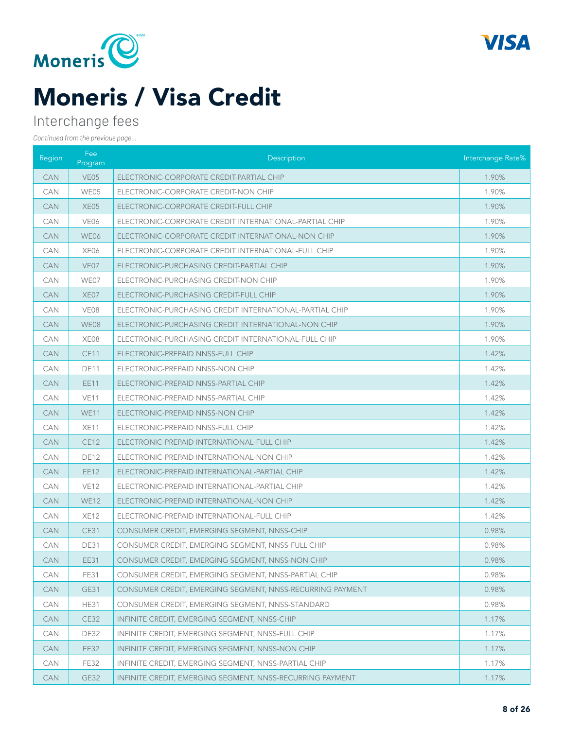



### Interchange fees

| Region     | Fee<br>Program   | <b>Description</b>                                        | Interchange Rate% |
|------------|------------------|-----------------------------------------------------------|-------------------|
| <b>CAN</b> | VE <sub>05</sub> | ELECTRONIC-CORPORATE CREDIT-PARTIAL CHIP                  | 1.90%             |
| <b>CAN</b> | WE05             | ELECTRONIC-CORPORATE CREDIT-NON CHIP                      | 1.90%             |
| <b>CAN</b> | XE <sub>05</sub> | ELECTRONIC-CORPORATE CREDIT-FULL CHIP                     | 1.90%             |
| <b>CAN</b> | VE06             | ELECTRONIC-CORPORATE CREDIT INTERNATIONAL-PARTIAL CHIP    | 1.90%             |
| <b>CAN</b> | WE06             | ELECTRONIC-CORPORATE CREDIT INTERNATIONAL-NON CHIP        | 1.90%             |
| <b>CAN</b> | XE06             | ELECTRONIC-CORPORATE CREDIT INTERNATIONAL-FULL CHIP       | 1.90%             |
| <b>CAN</b> | VE <sub>07</sub> | ELECTRONIC-PURCHASING CREDIT-PARTIAL CHIP                 | 1.90%             |
| <b>CAN</b> | WE07             | ELECTRONIC-PURCHASING CREDIT-NON CHIP                     | 1.90%             |
| <b>CAN</b> | XE07             | ELECTRONIC-PURCHASING CREDIT-FULL CHIP                    | 1.90%             |
| <b>CAN</b> | VE08             | ELECTRONIC-PURCHASING CREDIT INTERNATIONAL-PARTIAL CHIP   | 1.90%             |
| <b>CAN</b> | WE08             | ELECTRONIC-PURCHASING CREDIT INTERNATIONAL-NON CHIP       | 1.90%             |
| <b>CAN</b> | XE08             | ELECTRONIC-PURCHASING CREDIT INTERNATIONAL-FULL CHIP      | 1.90%             |
| <b>CAN</b> | <b>CE11</b>      | ELECTRONIC-PREPAID NNSS-FULL CHIP                         | 1.42%             |
| <b>CAN</b> | <b>DE11</b>      | ELECTRONIC-PREPAID NNSS-NON CHIP                          | 1.42%             |
| <b>CAN</b> | <b>EE11</b>      | ELECTRONIC-PREPAID NNSS-PARTIAL CHIP                      | 1.42%             |
| <b>CAN</b> | VE11             | ELECTRONIC-PREPAID NNSS-PARTIAL CHIP                      | 1.42%             |
| <b>CAN</b> | <b>WE11</b>      | ELECTRONIC-PREPAID NNSS-NON CHIP                          | 1.42%             |
| <b>CAN</b> | <b>XE11</b>      | ELECTRONIC-PREPAID NNSS-FULL CHIP                         | 1.42%             |
| <b>CAN</b> | <b>CE12</b>      | ELECTRONIC-PREPAID INTERNATIONAL-FULL CHIP                | 1.42%             |
| <b>CAN</b> | <b>DE12</b>      | ELECTRONIC-PREPAID INTERNATIONAL-NON CHIP                 | 1.42%             |
| <b>CAN</b> | <b>EE12</b>      | ELECTRONIC-PREPAID INTERNATIONAL-PARTIAL CHIP             | 1.42%             |
| <b>CAN</b> | VE12             | ELECTRONIC-PREPAID INTERNATIONAL-PARTIAL CHIP             | 1.42%             |
| <b>CAN</b> | <b>WE12</b>      | ELECTRONIC-PREPAID INTERNATIONAL-NON CHIP                 | 1.42%             |
| <b>CAN</b> | <b>XE12</b>      | ELECTRONIC-PREPAID INTERNATIONAL-FULL CHIP                | 1.42%             |
| <b>CAN</b> | <b>CE31</b>      | CONSUMER CREDIT, EMERGING SEGMENT, NNSS-CHIP              | 0.98%             |
| <b>CAN</b> | <b>DE31</b>      | CONSUMER CREDIT, EMERGING SEGMENT, NNSS-FULL CHIP         | 0.98%             |
| <b>CAN</b> | EE31             | CONSUMER CREDIT, EMERGING SEGMENT, NNSS-NON CHIP          | 0.98%             |
| <b>CAN</b> | <b>FE31</b>      | CONSUMER CREDIT. EMERGING SEGMENT. NNSS-PARTIAL CHIP      | 0.98%             |
| <b>CAN</b> | <b>GE31</b>      | CONSUMER CREDIT, EMERGING SEGMENT, NNSS-RECURRING PAYMENT | 0.98%             |
| CAN        | <b>HE31</b>      | CONSUMER CREDIT, EMERGING SEGMENT, NNSS-STANDARD          | 0.98%             |
| <b>CAN</b> | <b>CE32</b>      | INFINITE CREDIT, EMERGING SEGMENT, NNSS-CHIP              | 1.17%             |
| CAN        | <b>DE32</b>      | INFINITE CREDIT, EMERGING SEGMENT, NNSS-FULL CHIP         | 1.17%             |
| <b>CAN</b> | <b>EE32</b>      | INFINITE CREDIT, EMERGING SEGMENT, NNSS-NON CHIP          | 1.17%             |
| CAN        | <b>FE32</b>      | INFINITE CREDIT, EMERGING SEGMENT, NNSS-PARTIAL CHIP      | 1.17%             |
| <b>CAN</b> | GE32             | INFINITE CREDIT, EMERGING SEGMENT, NNSS-RECURRING PAYMENT | 1.17%             |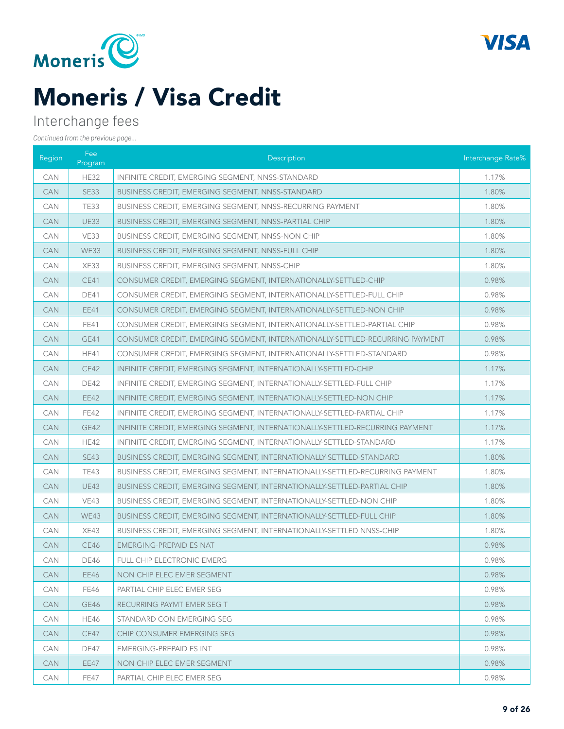



### Interchange fees

| Region     | Fee<br>Program | Description                                                                  | Interchange Rate% |
|------------|----------------|------------------------------------------------------------------------------|-------------------|
| <b>CAN</b> | <b>HE32</b>    | INFINITE CREDIT, EMERGING SEGMENT, NNSS-STANDARD                             | 1.17%             |
| <b>CAN</b> | <b>SE33</b>    | BUSINESS CREDIT, EMERGING SEGMENT, NNSS-STANDARD                             | 1.80%             |
| <b>CAN</b> | <b>TE33</b>    | BUSINESS CREDIT, EMERGING SEGMENT, NNSS-RECURRING PAYMENT                    | 1.80%             |
| <b>CAN</b> | <b>UE33</b>    | <b>BUSINESS CREDIT, EMERGING SEGMENT, NNSS-PARTIAL CHIP</b>                  | 1.80%             |
| <b>CAN</b> | VE33           | BUSINESS CREDIT, EMERGING SEGMENT, NNSS-NON CHIP                             | 1.80%             |
| <b>CAN</b> | <b>WE33</b>    | BUSINESS CREDIT, EMERGING SEGMENT, NNSS-FULL CHIP                            | 1.80%             |
| <b>CAN</b> | XE33           | <b>BUSINESS CREDIT, EMERGING SEGMENT, NNSS-CHIP</b>                          | 1.80%             |
| <b>CAN</b> | <b>CE41</b>    | CONSUMER CREDIT, EMERGING SEGMENT, INTERNATIONALLY-SETTLED-CHIP              | 0.98%             |
| <b>CAN</b> | <b>DE41</b>    | CONSUMER CREDIT, EMERGING SEGMENT, INTERNATIONALLY-SETTLED-FULL CHIP         | 0.98%             |
| <b>CAN</b> | <b>EE41</b>    | CONSUMER CREDIT, EMERGING SEGMENT, INTERNATIONALLY-SETTLED-NON CHIP          | 0.98%             |
| <b>CAN</b> | FE41           | CONSUMER CREDIT, EMERGING SEGMENT, INTERNATIONALLY-SETTLED-PARTIAL CHIP      | 0.98%             |
| <b>CAN</b> | <b>GE41</b>    | CONSUMER CREDIT, EMERGING SEGMENT, INTERNATIONALLY-SETTLED-RECURRING PAYMENT | 0.98%             |
| <b>CAN</b> | <b>HE41</b>    | CONSUMER CREDIT, EMERGING SEGMENT, INTERNATIONALLY-SETTLED-STANDARD          | 0.98%             |
| <b>CAN</b> | <b>CE42</b>    | INFINITE CREDIT, EMERGING SEGMENT, INTERNATIONALLY-SETTLED-CHIP              | 1.17%             |
| <b>CAN</b> | <b>DE42</b>    | INFINITE CREDIT, EMERGING SEGMENT, INTERNATIONALLY-SETTLED-FULL CHIP         | 1.17%             |
| <b>CAN</b> | <b>EE42</b>    | INFINITE CREDIT, EMERGING SEGMENT, INTERNATIONALLY-SETTLED-NON CHIP          | 1.17%             |
| <b>CAN</b> | <b>FE42</b>    | INFINITE CREDIT, EMERGING SEGMENT, INTERNATIONALLY-SETTLED-PARTIAL CHIP      | 1.17%             |
| <b>CAN</b> | <b>GE42</b>    | INFINITE CREDIT, EMERGING SEGMENT, INTERNATIONALLY-SETTLED-RECURRING PAYMENT | 1.17%             |
| <b>CAN</b> | <b>HE42</b>    | INFINITE CREDIT, EMERGING SEGMENT, INTERNATIONALLY-SETTLED-STANDARD          | 1.17%             |
| <b>CAN</b> | <b>SE43</b>    | <b>BUSINESS CREDIT, EMERGING SEGMENT, INTERNATIONALLY-SETTLED-STANDARD</b>   | 1.80%             |
| <b>CAN</b> | <b>TE43</b>    | BUSINESS CREDIT, EMERGING SEGMENT, INTERNATIONALLY-SETTLED-RECURRING PAYMENT | 1.80%             |
| <b>CAN</b> | <b>UE43</b>    | BUSINESS CREDIT, EMERGING SEGMENT, INTERNATIONALLY-SETTLED-PARTIAL CHIP      | 1.80%             |
| <b>CAN</b> | <b>VE43</b>    | <b>BUSINESS CREDIT, EMERGING SEGMENT, INTERNATIONALLY-SETTLED-NON CHIP</b>   | 1.80%             |
| <b>CAN</b> | WE43           | BUSINESS CREDIT, EMERGING SEGMENT, INTERNATIONALLY-SETTLED-FULL CHIP         | 1.80%             |
| <b>CAN</b> | XE43           | <b>BUSINESS CREDIT, EMERGING SEGMENT, INTERNATIONALLY-SETTLED NNSS-CHIP</b>  | 1.80%             |
| <b>CAN</b> | CE46           | <b>EMERGING-PREPAID ES NAT</b>                                               | 0.98%             |
| CAN        | <b>DE46</b>    | FULL CHIP ELECTRONIC EMERG                                                   | 0.98%             |
| <b>CAN</b> | EE46           | NON CHIP ELEC EMER SEGMENT                                                   | 0.98%             |
| <b>CAN</b> | <b>FE46</b>    | PARTIAL CHIP ELEC EMER SEG                                                   | 0.98%             |
| <b>CAN</b> | GE46           | RECURRING PAYMT EMER SEG T                                                   | 0.98%             |
| <b>CAN</b> | <b>HE46</b>    | STANDARD CON EMERGING SEG                                                    | 0.98%             |
| <b>CAN</b> | CE47           | CHIP CONSUMER EMERGING SEG                                                   | 0.98%             |
| <b>CAN</b> | DE47           | EMERGING-PREPAID ES INT                                                      | 0.98%             |
| <b>CAN</b> | <b>EE47</b>    | NON CHIP ELEC EMER SEGMENT                                                   | 0.98%             |
| <b>CAN</b> | FE47           | PARTIAL CHIP ELEC EMER SEG                                                   | 0.98%             |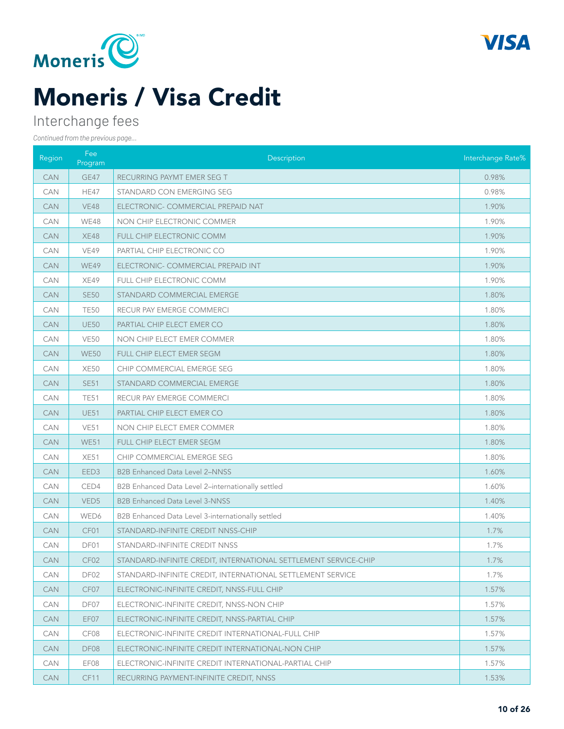



### Interchange fees

| Region     | Fee<br>Program   | Description                                                     | Interchange Rate% |
|------------|------------------|-----------------------------------------------------------------|-------------------|
| <b>CAN</b> | GE47             | RECURRING PAYMT EMER SEG T                                      | 0.98%             |
| CAN        | <b>HE47</b>      | STANDARD CON EMERGING SEG                                       | 0.98%             |
| <b>CAN</b> | <b>VE48</b>      | ELECTRONIC- COMMERCIAL PREPAID NAT                              | 1.90%             |
| CAN        | <b>WE48</b>      | NON CHIP ELECTRONIC COMMER                                      | 1.90%             |
| <b>CAN</b> | <b>XE48</b>      | FULL CHIP ELECTRONIC COMM                                       | 1.90%             |
| <b>CAN</b> | VE49             | PARTIAL CHIP ELECTRONIC CO                                      | 1.90%             |
| <b>CAN</b> | WE49             | ELECTRONIC- COMMERCIAL PREPAID INT                              | 1.90%             |
| CAN        | XE49             | FULL CHIP ELECTRONIC COMM                                       | 1.90%             |
| <b>CAN</b> | <b>SE50</b>      | STANDARD COMMERCIAL EMERGE                                      | 1.80%             |
| <b>CAN</b> | <b>TE50</b>      | RECUR PAY EMERGE COMMERCI                                       | 1.80%             |
| <b>CAN</b> | <b>UE50</b>      | PARTIAL CHIP ELECT EMER CO                                      | 1.80%             |
| <b>CAN</b> | <b>VE50</b>      | NON CHIP ELECT EMER COMMER                                      | 1.80%             |
| <b>CAN</b> | <b>WE50</b>      | FULL CHIP ELECT EMER SEGM                                       | 1.80%             |
| CAN        | <b>XE50</b>      | CHIP COMMERCIAL EMERGE SEG                                      | 1.80%             |
| <b>CAN</b> | <b>SE51</b>      | STANDARD COMMERCIAL EMERGE                                      | 1.80%             |
| <b>CAN</b> | <b>TE51</b>      | RECUR PAY EMERGE COMMERCI                                       | 1.80%             |
| <b>CAN</b> | <b>UE51</b>      | PARTIAL CHIP ELECT EMER CO                                      | 1.80%             |
| <b>CAN</b> | <b>VE51</b>      | NON CHIP ELECT EMER COMMER                                      | 1.80%             |
| <b>CAN</b> | <b>WE51</b>      | FULL CHIP ELECT EMER SEGM                                       | 1.80%             |
| CAN        | XE51             | CHIP COMMERCIAL EMERGE SEG                                      | 1.80%             |
| <b>CAN</b> | EED <sub>3</sub> | <b>B2B Enhanced Data Level 2-NNSS</b>                           | 1.60%             |
| <b>CAN</b> | CED4             | B2B Enhanced Data Level 2-internationally settled               | 1.60%             |
| <b>CAN</b> | VED <sub>5</sub> | <b>B2B Enhanced Data Level 3-NNSS</b>                           | 1.40%             |
| <b>CAN</b> | WED6             | B2B Enhanced Data Level 3-internationally settled               | 1.40%             |
| <b>CAN</b> | CF01             | STANDARD-INFINITE CREDIT NNSS-CHIP                              | 1.7%              |
| CAN        | DF01             | STANDARD-INFINITE CREDIT NNSS                                   | 1.7%              |
| <b>CAN</b> | CF02             | STANDARD-INFINITE CREDIT, INTERNATIONAL SETTLEMENT SERVICE-CHIP | 1.7%              |
| CAN        | DF <sub>02</sub> | STANDARD-INFINITE CREDIT, INTERNATIONAL SETTLEMENT SERVICE      | 1.7%              |
| CAN        | CF07             | ELECTRONIC-INFINITE CREDIT, NNSS-FULL CHIP                      | 1.57%             |
| CAN        | DF07             | ELECTRONIC-INFINITE CREDIT. NNSS-NON CHIP                       | 1.57%             |
| <b>CAN</b> | EF07             | ELECTRONIC-INFINITE CREDIT, NNSS-PARTIAL CHIP                   | 1.57%             |
| CAN        | CF08             | ELECTRONIC-INFINITE CREDIT INTERNATIONAL-FULL CHIP              | 1.57%             |
| <b>CAN</b> | DF08             | ELECTRONIC-INFINITE CREDIT INTERNATIONAL-NON CHIP               | 1.57%             |
| <b>CAN</b> | EF08             | ELECTRONIC-INFINITE CREDIT INTERNATIONAL-PARTIAL CHIP           | 1.57%             |
| <b>CAN</b> | CF11             | RECURRING PAYMENT-INFINITE CREDIT, NNSS                         | 1.53%             |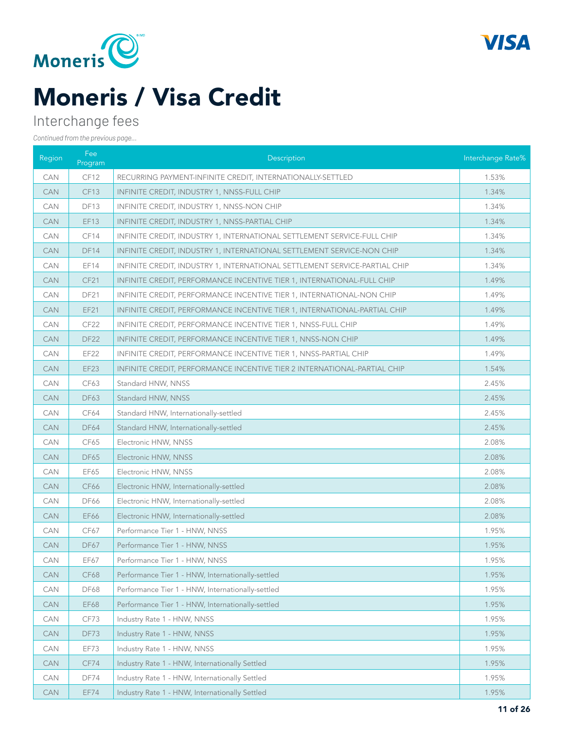



### Interchange fees

| Region     | Fee<br>Program   | Description                                                                | Interchange Rate% |
|------------|------------------|----------------------------------------------------------------------------|-------------------|
| CAN        | CF12             | RECURRING PAYMENT-INFINITE CREDIT, INTERNATIONALLY-SETTLED                 | 1.53%             |
| <b>CAN</b> | <b>CF13</b>      | INFINITE CREDIT, INDUSTRY 1, NNSS-FULL CHIP                                | 1.34%             |
| CAN        | <b>DF13</b>      | INFINITE CREDIT, INDUSTRY 1, NNSS-NON CHIP                                 | 1.34%             |
| CAN        | <b>EF13</b>      | INFINITE CREDIT, INDUSTRY 1, NNSS-PARTIAL CHIP                             | 1.34%             |
| CAN        | CF14             | INFINITE CREDIT, INDUSTRY 1, INTERNATIONAL SETTLEMENT SERVICE-FULL CHIP    | 1.34%             |
| <b>CAN</b> | <b>DF14</b>      | INFINITE CREDIT, INDUSTRY 1, INTERNATIONAL SETTLEMENT SERVICE-NON CHIP     | 1.34%             |
| <b>CAN</b> | EF14             | INFINITE CREDIT, INDUSTRY 1, INTERNATIONAL SETTLEMENT SERVICE-PARTIAL CHIP | 1.34%             |
| <b>CAN</b> | <b>CF21</b>      | INFINITE CREDIT, PERFORMANCE INCENTIVE TIER 1, INTERNATIONAL-FULL CHIP     | 1.49%             |
| CAN        | DF <sub>21</sub> | INFINITE CREDIT, PERFORMANCE INCENTIVE TIER 1, INTERNATIONAL-NON CHIP      | 1.49%             |
| CAN        | EF21             | INFINITE CREDIT, PERFORMANCE INCENTIVE TIER 1, INTERNATIONAL-PARTIAL CHIP  | 1.49%             |
| <b>CAN</b> | CF <sub>22</sub> | INFINITE CREDIT, PERFORMANCE INCENTIVE TIER 1, NNSS-FULL CHIP              | 1.49%             |
| <b>CAN</b> | <b>DF22</b>      | INFINITE CREDIT, PERFORMANCE INCENTIVE TIER 1, NNSS-NON CHIP               | 1.49%             |
| <b>CAN</b> | EF22             | INFINITE CREDIT, PERFORMANCE INCENTIVE TIER 1, NNSS-PARTIAL CHIP           | 1.49%             |
| <b>CAN</b> | <b>EF23</b>      | INFINITE CREDIT, PERFORMANCE INCENTIVE TIER 2 INTERNATIONAL-PARTIAL CHIP   | 1.54%             |
| CAN        | CF63             | Standard HNW, NNSS                                                         | 2.45%             |
| CAN        | <b>DF63</b>      | Standard HNW, NNSS                                                         | 2.45%             |
| <b>CAN</b> | CF64             | Standard HNW, Internationally-settled                                      | 2.45%             |
| <b>CAN</b> | <b>DF64</b>      | Standard HNW, Internationally-settled                                      | 2.45%             |
| <b>CAN</b> | CF65             | Electronic HNW, NNSS                                                       | 2.08%             |
| <b>CAN</b> | <b>DF65</b>      | Electronic HNW, NNSS                                                       | 2.08%             |
| CAN        | EF65             | Electronic HNW, NNSS                                                       | 2.08%             |
| CAN        | CF66             | Electronic HNW, Internationally-settled                                    | 2.08%             |
| <b>CAN</b> | <b>DF66</b>      | Electronic HNW, Internationally-settled                                    | 2.08%             |
| <b>CAN</b> | EF66             | Electronic HNW, Internationally-settled                                    | 2.08%             |
| <b>CAN</b> | CF67             | Performance Tier 1 - HNW, NNSS                                             | 1.95%             |
| <b>CAN</b> | <b>DF67</b>      | Performance Tier 1 - HNW, NNSS                                             | 1.95%             |
| CAN        | EF67             | Performance Tier 1 - HNW, NNSS                                             | 1.95%             |
| <b>CAN</b> | <b>CF68</b>      | Performance Tier 1 - HNW, Internationally-settled                          | 1.95%             |
| CAN        | <b>DF68</b>      | Performance Tier 1 - HNW, Internationally-settled                          | 1.95%             |
| <b>CAN</b> | EF68             | Performance Tier 1 - HNW, Internationally-settled                          | 1.95%             |
| CAN        | CF73             | Industry Rate 1 - HNW, NNSS                                                | 1.95%             |
| <b>CAN</b> | DF73             | Industry Rate 1 - HNW, NNSS                                                | 1.95%             |
| CAN        | EF73             | Industry Rate 1 - HNW, NNSS                                                | 1.95%             |
| CAN        | CF74             | Industry Rate 1 - HNW, Internationally Settled                             | 1.95%             |
| CAN        | DF74             | Industry Rate 1 - HNW, Internationally Settled                             | 1.95%             |
| CAN        | EF74             | Industry Rate 1 - HNW, Internationally Settled                             | 1.95%             |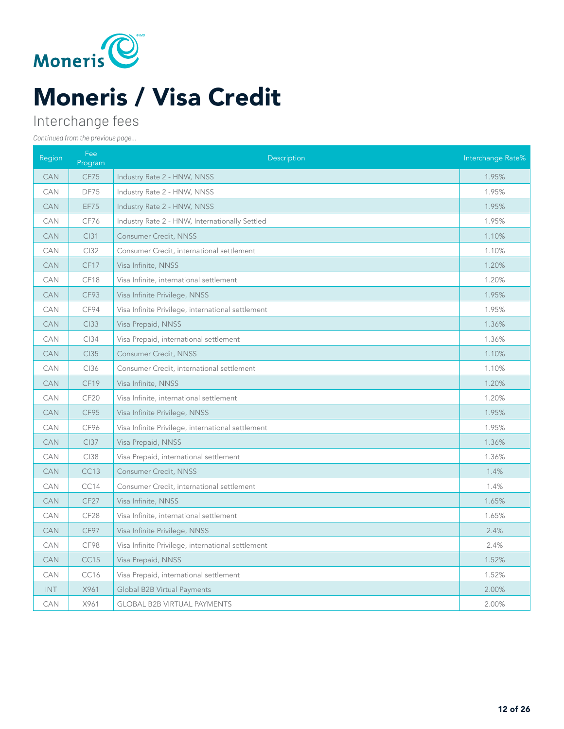

### Interchange fees

| Region     | Fee<br>Program   | Description                                       | Interchange Rate% |
|------------|------------------|---------------------------------------------------|-------------------|
| <b>CAN</b> | CF75             | Industry Rate 2 - HNW, NNSS                       | 1.95%             |
| CAN        | DF75             | Industry Rate 2 - HNW, NNSS                       | 1.95%             |
| <b>CAN</b> | EF75             | Industry Rate 2 - HNW, NNSS                       | 1.95%             |
| CAN        | CF76             | Industry Rate 2 - HNW, Internationally Settled    | 1.95%             |
| <b>CAN</b> | <b>CI31</b>      | Consumer Credit, NNSS                             | 1.10%             |
| CAN        | CI32             | Consumer Credit, international settlement         | 1.10%             |
| <b>CAN</b> | CF17             | Visa Infinite, NNSS                               | 1.20%             |
| CAN        | CF18             | Visa Infinite, international settlement           | 1.20%             |
| <b>CAN</b> | CF93             | Visa Infinite Privilege, NNSS                     | 1.95%             |
| CAN        | CF94             | Visa Infinite Privilege, international settlement | 1.95%             |
| <b>CAN</b> | CI33             | Visa Prepaid, NNSS                                | 1.36%             |
| CAN        | CI34             | Visa Prepaid, international settlement            | 1.36%             |
| <b>CAN</b> | <b>CI35</b>      | Consumer Credit, NNSS                             | 1.10%             |
| CAN        | CI36             | Consumer Credit, international settlement         | 1.10%             |
| <b>CAN</b> | CF19             | Visa Infinite, NNSS                               | 1.20%             |
| CAN        | CF <sub>20</sub> | Visa Infinite, international settlement           | 1.20%             |
| <b>CAN</b> | CF95             | Visa Infinite Privilege, NNSS                     | 1.95%             |
| CAN        | CF96             | Visa Infinite Privilege, international settlement | 1.95%             |
| <b>CAN</b> | <b>CI37</b>      | Visa Prepaid, NNSS                                | 1.36%             |
| CAN        | CI38             | Visa Prepaid, international settlement            | 1.36%             |
| <b>CAN</b> | <b>CC13</b>      | <b>Consumer Credit, NNSS</b>                      | 1.4%              |
| CAN        | CC14             | Consumer Credit, international settlement         | 1.4%              |
| <b>CAN</b> | CF <sub>27</sub> | Visa Infinite, NNSS                               | 1.65%             |
| CAN        | CF <sub>28</sub> | Visa Infinite, international settlement           | 1.65%             |
| <b>CAN</b> | CF97             | Visa Infinite Privilege, NNSS                     | 2.4%              |
| CAN        | CF98             | Visa Infinite Privilege, international settlement | 2.4%              |
| <b>CAN</b> | CC15             | Visa Prepaid, NNSS                                | 1.52%             |
| CAN        | CC16             | Visa Prepaid, international settlement            | 1.52%             |
| <b>INT</b> | X961             | Global B2B Virtual Payments                       | 2.00%             |
| CAN        | X961             | <b>GLOBAL B2B VIRTUAL PAYMENTS</b>                | 2.00%             |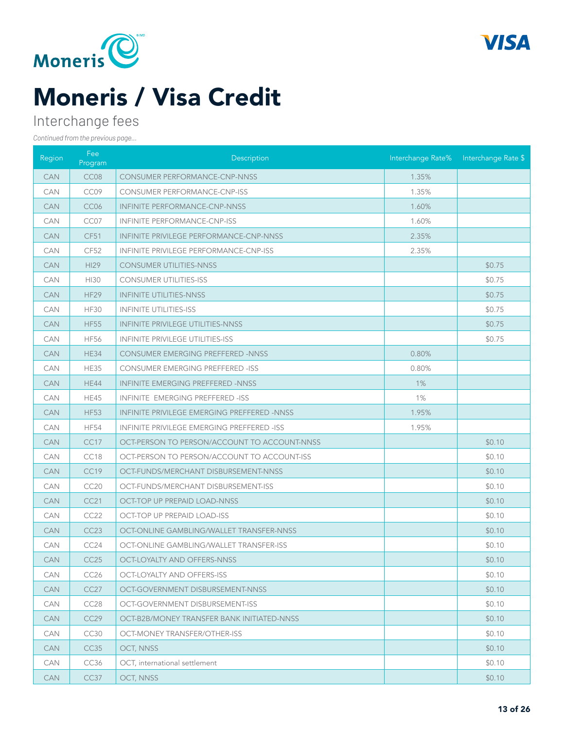



### Interchange fees

| Region     | Fee<br>Program   | Description                                  |       | Interchange Rate% Interchange Rate \$ |
|------------|------------------|----------------------------------------------|-------|---------------------------------------|
| <b>CAN</b> | CC08             | <b>CONSUMER PERFORMANCE-CNP-NNSS</b>         | 1.35% |                                       |
| <b>CAN</b> | CC09             | CONSUMER PERFORMANCE-CNP-ISS                 | 1.35% |                                       |
| <b>CAN</b> | CC <sub>06</sub> | <b>INFINITE PERFORMANCE-CNP-NNSS</b>         | 1.60% |                                       |
| <b>CAN</b> | CC07             | <b>INFINITE PERFORMANCE-CNP-ISS</b>          | 1.60% |                                       |
| <b>CAN</b> | <b>CF51</b>      | INFINITE PRIVILEGE PERFORMANCE-CNP-NNSS      | 2.35% |                                       |
| <b>CAN</b> | CF52             | INFINITE PRIVILEGE PERFORMANCE-CNP-ISS       | 2.35% |                                       |
| <b>CAN</b> | <b>HI29</b>      | <b>CONSUMER UTILITIES-NNSS</b>               |       | \$0.75                                |
| <b>CAN</b> | HI30             | <b>CONSUMER UTILITIES-ISS</b>                |       | \$0.75                                |
| CAN        | HF <sub>29</sub> | <b>INFINITE UTILITIES-NNSS</b>               |       | \$0.75                                |
| <b>CAN</b> | <b>HF30</b>      | <b>INFINITE UTILITIES-ISS</b>                |       | \$0.75                                |
| <b>CAN</b> | <b>HF55</b>      | INFINITE PRIVILEGE UTILITIES-NNSS            |       | \$0.75                                |
| <b>CAN</b> | <b>HF56</b>      | INFINITE PRIVILEGE UTILITIES-ISS             |       | \$0.75                                |
| <b>CAN</b> | <b>HE34</b>      | <b>CONSUMER EMERGING PREFFERED -NNSS</b>     | 0.80% |                                       |
| <b>CAN</b> | <b>HE35</b>      | CONSUMER EMERGING PREFFERED -ISS             | 0.80% |                                       |
| CAN        | <b>HE44</b>      | INFINITE EMERGING PREFFERED -NNSS            | $1\%$ |                                       |
| <b>CAN</b> | <b>HE45</b>      | INFINITE EMERGING PREFFERED -ISS             | 1%    |                                       |
| <b>CAN</b> | <b>HF53</b>      | INFINITE PRIVILEGE EMERGING PREFFERED -NNSS  | 1.95% |                                       |
| <b>CAN</b> | <b>HF54</b>      | INFINITE PRIVILEGE EMERGING PREFFERED -ISS   | 1.95% |                                       |
| <b>CAN</b> | CC17             | OCT-PERSON TO PERSON/ACCOUNT TO ACCOUNT-NNSS |       | \$0.10                                |
| CAN        | CC18             | OCT-PERSON TO PERSON/ACCOUNT TO ACCOUNT-ISS  |       | \$0.10                                |
| CAN        | CC19             | OCT-FUNDS/MERCHANT DISBURSEMENT-NNSS         |       | \$0.10                                |
| <b>CAN</b> | CC <sub>20</sub> | OCT-FUNDS/MERCHANT DISBURSEMENT-ISS          |       | \$0.10                                |
| <b>CAN</b> | CC21             | OCT-TOP UP PREPAID LOAD-NNSS                 |       | \$0.10                                |
| <b>CAN</b> | CC22             | OCT-TOP UP PREPAID LOAD-ISS                  |       | \$0.10                                |
| <b>CAN</b> | CC23             | OCT-ONLINE GAMBLING/WALLET TRANSFER-NNSS     |       | \$0.10                                |
| <b>CAN</b> | CC24             | OCT-ONLINE GAMBLING/WALLET TRANSFER-ISS      |       | \$0.10                                |
| <b>CAN</b> | CC25             | <b>OCT-LOYALTY AND OFFERS-NNSS</b>           |       | \$0.10                                |
| <b>CAN</b> | CC26             | OCT-LOYALTY AND OFFERS-ISS                   |       | \$0.10                                |
| <b>CAN</b> | CC27             | OCT-GOVERNMENT DISBURSEMENT-NNSS             |       | \$0.10                                |
| CAN        | CC28             | OCT-GOVERNMENT DISBURSEMENT-ISS              |       | \$0.10                                |
| <b>CAN</b> | CC <sub>29</sub> | OCT-B2B/MONEY TRANSFER BANK INITIATED-NNSS   |       | \$0.10                                |
| CAN        | CC30             | OCT-MONEY TRANSFER/OTHER-ISS                 |       | \$0.10                                |
| <b>CAN</b> | CC <sub>35</sub> | OCT, NNSS                                    |       | \$0.10                                |
| CAN        | CC36             | OCT, international settlement                |       | \$0.10                                |
| <b>CAN</b> | CC37             | OCT, NNSS                                    |       | \$0.10                                |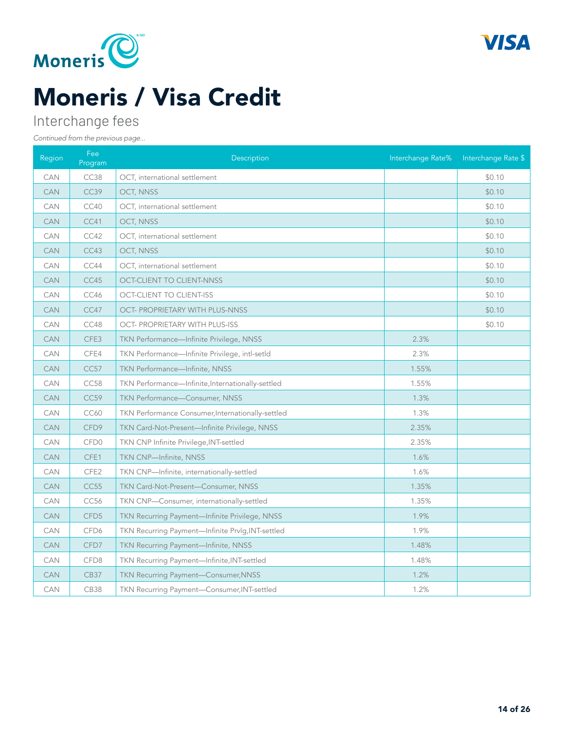



### Interchange fees

| Region     | Fee<br>Program   | Description                                       | Interchange Rate% | Interchange Rate \$ |
|------------|------------------|---------------------------------------------------|-------------------|---------------------|
| <b>CAN</b> | CC38             | OCT, international settlement                     |                   | \$0.10              |
| <b>CAN</b> | CC39             | OCT, NNSS                                         |                   | \$0.10              |
| <b>CAN</b> | CC40             | OCT, international settlement                     |                   | \$0.10              |
| <b>CAN</b> | CC41             | OCT, NNSS                                         |                   | \$0.10              |
| CAN        | CC42             | OCT, international settlement                     |                   | \$0.10              |
| <b>CAN</b> | CC43             | OCT, NNSS                                         |                   | \$0.10              |
| <b>CAN</b> | CC44             | OCT, international settlement                     |                   | \$0.10              |
| <b>CAN</b> | CC45             | <b>OCT-CLIENT TO CLIENT-NNSS</b>                  |                   | \$0.10              |
| <b>CAN</b> | CC46             | <b>OCT-CLIENT TO CLIENT-ISS</b>                   |                   | \$0.10              |
| <b>CAN</b> | CC47             | OCT- PROPRIETARY WITH PLUS-NNSS                   |                   | \$0.10              |
| <b>CAN</b> | CC48             | OCT- PROPRIETARY WITH PLUS-ISS                    |                   | \$0.10              |
| <b>CAN</b> | CFE3             | TKN Performance-Infinite Privilege, NNSS          | 2.3%              |                     |
| CAN        | CFE4             | TKN Performance-Infinite Privilege, intl-setId    | 2.3%              |                     |
| <b>CAN</b> | <b>CC57</b>      | TKN Performance-Infinite, NNSS                    | 1.55%             |                     |
| CAN        | CC58             | TKN Performance-Infinite, Internationally-settled | 1.55%             |                     |
| <b>CAN</b> | CC59             | TKN Performance-Consumer, NNSS                    | 1.3%              |                     |
| <b>CAN</b> | <b>CC60</b>      | TKN Performance Consumer, Internationally-settled | 1.3%              |                     |
| <b>CAN</b> | CFD9             | TKN Card-Not-Present-Infinite Privilege, NNSS     | 2.35%             |                     |
| <b>CAN</b> | CFD <sub>0</sub> | TKN CNP Infinite Privilege, INT-settled           | 2.35%             |                     |
| <b>CAN</b> | CFE1             | TKN CNP-Infinite, NNSS                            | 1.6%              |                     |
| CAN        | CFE2             | TKN CNP-Infinite, internationally-settled         | 1.6%              |                     |
| <b>CAN</b> | CC55             | TKN Card-Not-Present-Consumer, NNSS               | 1.35%             |                     |
| <b>CAN</b> | CC56             | TKN CNP-Consumer, internationally-settled         | 1.35%             |                     |
| <b>CAN</b> | CFD <sub>5</sub> | TKN Recurring Payment-Infinite Privilege, NNSS    | 1.9%              |                     |
| <b>CAN</b> | CFD6             | TKN Recurring Payment-Infinite Prvlg, INT-settled | 1.9%              |                     |
| <b>CAN</b> | CFD7             | TKN Recurring Payment-Infinite, NNSS              | 1.48%             |                     |
| <b>CAN</b> | CFD8             | TKN Recurring Payment-Infinite, INT-settled       | 1.48%             |                     |
| <b>CAN</b> | <b>CB37</b>      | TKN Recurring Payment-Consumer, NNSS              | 1.2%              |                     |
| <b>CAN</b> | CB38             | TKN Recurring Payment-Consumer, INT-settled       | 1.2%              |                     |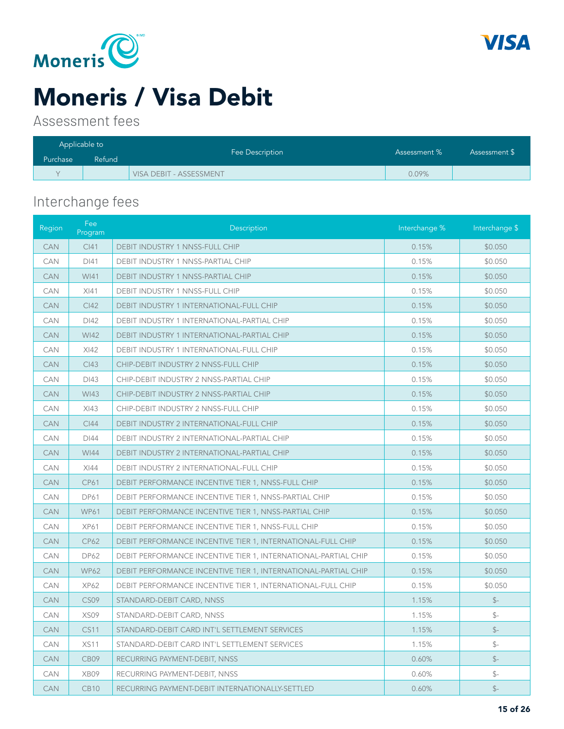



### Moneris / Visa Debit

Assessment fees

| Applicable to |        | Fee Description         | Assessment % | Assessment \$ |
|---------------|--------|-------------------------|--------------|---------------|
| Purchase      | Refund |                         |              |               |
|               |        | VISA DEBIT - ASSESSMENT | $0.09\%$     |               |

### Interchange fees

| Region     | Fee<br>Program   | Description                                                           | Interchange % | Interchange \$ |
|------------|------------------|-----------------------------------------------------------------------|---------------|----------------|
| CAN        | Cl41             | DEBIT INDUSTRY 1 NNSS-FULL CHIP                                       | 0.15%         | \$0.050        |
| CAN        | DI41             | DEBIT INDUSTRY 1 NNSS-PARTIAL CHIP                                    | 0.15%         | \$0.050        |
| <b>CAN</b> | WI41             | DEBIT INDUSTRY 1 NNSS-PARTIAL CHIP                                    | 0.15%         | \$0.050        |
| CAN        | XI41             | <b>DEBIT INDUSTRY 1 NNSS-FULL CHIP</b>                                | 0.15%         | \$0.050        |
| <b>CAN</b> | C <sub>142</sub> | <b>DEBIT INDUSTRY 1 INTERNATIONAL-FULL CHIP</b>                       | 0.15%         | \$0.050        |
| CAN        | DI42             | DEBIT INDUSTRY 1 INTERNATIONAL-PARTIAL CHIP                           | 0.15%         | \$0.050        |
| <b>CAN</b> | <b>WI42</b>      | DEBIT INDUSTRY 1 INTERNATIONAL-PARTIAL CHIP                           | 0.15%         | \$0.050        |
| CAN        | XI42             | DEBIT INDUSTRY 1 INTERNATIONAL-FULL CHIP                              | 0.15%         | \$0.050        |
| <b>CAN</b> | CI43             | CHIP-DEBIT INDUSTRY 2 NNSS-FULL CHIP                                  | 0.15%         | \$0.050        |
| CAN        | DI43             | CHIP-DEBIT INDUSTRY 2 NNSS-PARTIAL CHIP                               | 0.15%         | \$0.050        |
| <b>CAN</b> | WI43             | CHIP-DEBIT INDUSTRY 2 NNSS-PARTIAL CHIP                               | 0.15%         | \$0.050        |
| CAN        | XI43             | CHIP-DEBIT INDUSTRY 2 NNSS-FULL CHIP                                  | 0.15%         | \$0.050        |
| <b>CAN</b> | C <sub>144</sub> | DEBIT INDUSTRY 2 INTERNATIONAL-FULL CHIP                              | 0.15%         | \$0.050        |
| CAN        | DI44             | DEBIT INDUSTRY 2 INTERNATIONAL-PARTIAL CHIP                           | 0.15%         | \$0.050        |
| <b>CAN</b> | <b>WI44</b>      | DEBIT INDUSTRY 2 INTERNATIONAL-PARTIAL CHIP                           | 0.15%         | \$0.050        |
| CAN        | XI44             | DEBIT INDUSTRY 2 INTERNATIONAL-FULL CHIP                              | 0.15%         | \$0.050        |
| <b>CAN</b> | <b>CP61</b>      | DEBIT PERFORMANCE INCENTIVE TIER 1, NNSS-FULL CHIP                    | 0.15%         | \$0.050        |
| CAN        | <b>DP61</b>      | DEBIT PERFORMANCE INCENTIVE TIER 1, NNSS-PARTIAL CHIP                 | 0.15%         | \$0.050        |
| <b>CAN</b> | <b>WP61</b>      | DEBIT PERFORMANCE INCENTIVE TIER 1, NNSS-PARTIAL CHIP                 | 0.15%         | \$0.050        |
| CAN        | <b>XP61</b>      | DEBIT PERFORMANCE INCENTIVE TIER 1, NNSS-FULL CHIP                    | 0.15%         | \$0.050        |
| <b>CAN</b> | <b>CP62</b>      | DEBIT PERFORMANCE INCENTIVE TIER 1, INTERNATIONAL-FULL CHIP           | 0.15%         | \$0.050        |
| <b>CAN</b> | <b>DP62</b>      | DEBIT PERFORMANCE INCENTIVE TIER 1, INTERNATIONAL-PARTIAL CHIP        | 0.15%         | \$0.050        |
| <b>CAN</b> | <b>WP62</b>      | <b>DEBIT PERFORMANCE INCENTIVE TIER 1, INTERNATIONAL-PARTIAL CHIP</b> | 0.15%         | \$0.050        |
| CAN        | <b>XP62</b>      | DEBIT PERFORMANCE INCENTIVE TIER 1, INTERNATIONAL-FULL CHIP           | 0.15%         | \$0.050        |
| <b>CAN</b> | CS09             | STANDARD-DEBIT CARD, NNSS                                             | 1.15%         | $S-$           |
| CAN        | XS09             | STANDARD-DEBIT CARD, NNSS                                             | 1.15%         | $S-$           |
| <b>CAN</b> | <b>CS11</b>      | STANDARD-DEBIT CARD INT'L SETTLEMENT SERVICES                         | 1.15%         | $S-$           |
| CAN        | <b>XS11</b>      | STANDARD-DEBIT CARD INT'L SETTLEMENT SERVICES                         | 1.15%         | $S-$           |
| <b>CAN</b> | CB09             | RECURRING PAYMENT-DEBIT, NNSS                                         | 0.60%         | $S-$           |
| CAN        | XB09             | RECURRING PAYMENT-DEBIT, NNSS                                         | 0.60%         | $\mathbb{S}^-$ |
| <b>CAN</b> | <b>CB10</b>      | RECURRING PAYMENT-DEBIT INTERNATIONALLY-SETTLED                       | 0.60%         | $S-$           |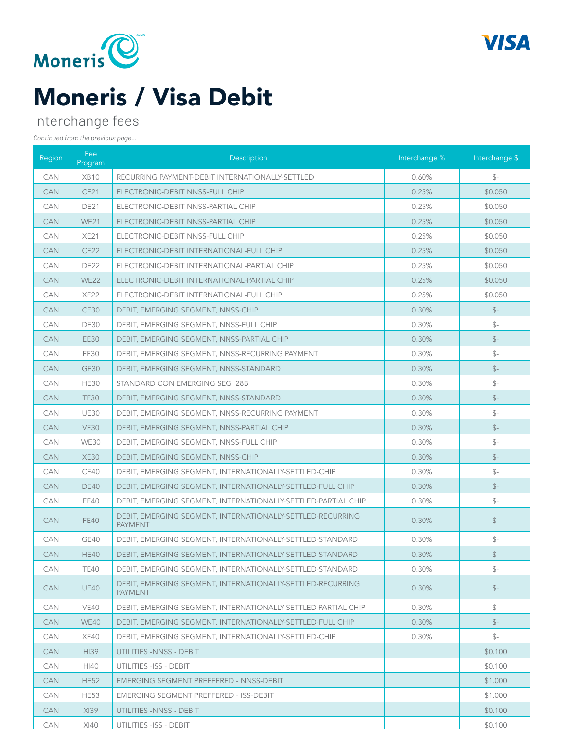



### Moneris / Visa Debit

### Interchange fees

| Region     | Fee<br>Program | Description                                                                  | Interchange % | Interchange \$ |
|------------|----------------|------------------------------------------------------------------------------|---------------|----------------|
| <b>CAN</b> | <b>XB10</b>    | RECURRING PAYMENT-DEBIT INTERNATIONALLY-SETTLED                              | 0.60%         | $S-$           |
| <b>CAN</b> | <b>CE21</b>    | ELECTRONIC-DEBIT NNSS-FULL CHIP                                              | 0.25%         | \$0.050        |
| <b>CAN</b> | <b>DE21</b>    | ELECTRONIC-DEBIT NNSS-PARTIAL CHIP                                           | 0.25%         | \$0.050        |
| <b>CAN</b> | <b>WE21</b>    | ELECTRONIC-DEBIT NNSS-PARTIAL CHIP                                           | 0.25%         | \$0.050        |
| CAN        | <b>XE21</b>    | ELECTRONIC-DEBIT NNSS-FULL CHIP                                              | 0.25%         | \$0.050        |
| <b>CAN</b> | <b>CE22</b>    | ELECTRONIC-DEBIT INTERNATIONAL-FULL CHIP                                     | 0.25%         | \$0.050        |
| <b>CAN</b> | <b>DE22</b>    | ELECTRONIC-DEBIT INTERNATIONAL-PARTIAL CHIP                                  | 0.25%         | \$0.050        |
| <b>CAN</b> | <b>WE22</b>    | ELECTRONIC-DEBIT INTERNATIONAL-PARTIAL CHIP                                  | 0.25%         | \$0.050        |
| <b>CAN</b> | <b>XE22</b>    | ELECTRONIC-DEBIT INTERNATIONAL-FULL CHIP                                     | 0.25%         | \$0.050        |
| <b>CAN</b> | <b>CE30</b>    | DEBIT, EMERGING SEGMENT, NNSS-CHIP                                           | 0.30%         | $S-$           |
| <b>CAN</b> | DE30           | DEBIT, EMERGING SEGMENT, NNSS-FULL CHIP                                      | 0.30%         | $S-$           |
| <b>CAN</b> | <b>EE30</b>    | DEBIT, EMERGING SEGMENT, NNSS-PARTIAL CHIP                                   | 0.30%         | $S-$           |
| <b>CAN</b> | <b>FE30</b>    | DEBIT, EMERGING SEGMENT, NNSS-RECURRING PAYMENT                              | 0.30%         | $S-$           |
| <b>CAN</b> | <b>GE30</b>    | DEBIT, EMERGING SEGMENT, NNSS-STANDARD                                       | 0.30%         | $S-$           |
| <b>CAN</b> | <b>HE30</b>    | STANDARD CON EMERGING SEG 28B                                                | 0.30%         | $\mathbb{S}^-$ |
| <b>CAN</b> | <b>TE30</b>    | DEBIT, EMERGING SEGMENT, NNSS-STANDARD                                       | 0.30%         | $S-$           |
| <b>CAN</b> | <b>UE30</b>    | DEBIT, EMERGING SEGMENT, NNSS-RECURRING PAYMENT                              | 0.30%         | $S-$           |
| <b>CAN</b> | <b>VE30</b>    | DEBIT, EMERGING SEGMENT, NNSS-PARTIAL CHIP                                   | 0.30%         | $S-$           |
| <b>CAN</b> | <b>WE30</b>    | DEBIT, EMERGING SEGMENT, NNSS-FULL CHIP                                      | 0.30%         | $S-$           |
| <b>CAN</b> | <b>XE30</b>    | DEBIT, EMERGING SEGMENT, NNSS-CHIP                                           | 0.30%         | $S-$           |
| <b>CAN</b> | CE40           | DEBIT, EMERGING SEGMENT, INTERNATIONALLY-SETTLED-CHIP                        | 0.30%         | $\mathbb{S}^-$ |
| <b>CAN</b> | <b>DE40</b>    | DEBIT, EMERGING SEGMENT, INTERNATIONALLY-SETTLED-FULL CHIP                   | 0.30%         | $S-$           |
| <b>CAN</b> | EE40           | DEBIT, EMERGING SEGMENT, INTERNATIONALLY-SETTLED-PARTIAL CHIP                | 0.30%         | $S-$           |
| <b>CAN</b> | <b>FE40</b>    | DEBIT, EMERGING SEGMENT, INTERNATIONALLY-SETTLED-RECURRING<br><b>PAYMENT</b> | 0.30%         | $S-$           |
| <b>CAN</b> | GE40           | DEBIT, EMERGING SEGMENT, INTERNATIONALLY-SETTLED-STANDARD                    | 0.30%         | $S-$           |
| <b>CAN</b> | <b>HE40</b>    | DEBIT, EMERGING SEGMENT, INTERNATIONALLY-SETTLED-STANDARD                    | 0.30%         | $S-$           |
| <b>CAN</b> | <b>TE40</b>    | DEBIT, EMERGING SEGMENT, INTERNATIONALLY-SETTLED-STANDARD                    | 0.30%         | $S-$           |
| CAN        | <b>UE40</b>    | DEBIT, EMERGING SEGMENT, INTERNATIONALLY-SETTLED-RECURRING<br><b>PAYMENT</b> | 0.30%         | $S-$           |
| <b>CAN</b> | <b>VE40</b>    | DEBIT, EMERGING SEGMENT, INTERNATIONALLY-SETTLED PARTIAL CHIP                | 0.30%         | $S-$           |
| <b>CAN</b> | <b>WE40</b>    | DEBIT, EMERGING SEGMENT, INTERNATIONALLY-SETTLED-FULL CHIP                   | 0.30%         | $S-$           |
| <b>CAN</b> | XE40           | DEBIT, EMERGING SEGMENT, INTERNATIONALLY-SETTLED-CHIP                        | 0.30%         | $\mathbb{S}^-$ |
| <b>CAN</b> | HI39           | UTILITIES -NNSS - DEBIT                                                      |               | \$0.100        |
| <b>CAN</b> | HI40           | UTILITIES - ISS - DEBIT                                                      |               | \$0.100        |
| <b>CAN</b> | <b>HE52</b>    | EMERGING SEGMENT PREFFERED - NNSS-DEBIT                                      |               | \$1.000        |
| CAN        | <b>HE53</b>    | EMERGING SEGMENT PREFFERED - ISS-DEBIT                                       |               | \$1.000        |
| <b>CAN</b> | X139           | UTILITIES -NNSS - DEBIT                                                      |               | \$0.100        |
| CAN        | $X$   40       | UTILITIES - ISS - DEBIT                                                      |               | \$0.100        |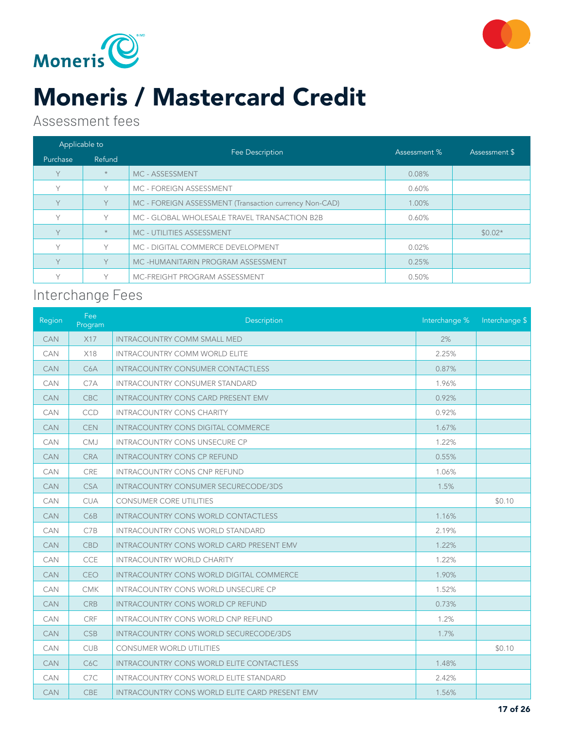



### Moneris / Mastercard Credit

#### Assessment fees

| Applicable to |         |                                                        | Assessment % | Assessment \$ |
|---------------|---------|--------------------------------------------------------|--------------|---------------|
| Purchase      | Refund  | Fee Description                                        |              |               |
| V             | $\star$ | MC - ASSESSMENT                                        | 0.08%        |               |
| Y             | Υ       | MC - FOREIGN ASSESSMENT                                | 0.60%        |               |
| V.            | Y       | MC - FOREIGN ASSESSMENT (Transaction currency Non-CAD) | 1.00%        |               |
| V             | Υ       | MC - GLOBAL WHOLESALE TRAVEL TRANSACTION B2B           | 0.60%        |               |
| Y             | $\star$ | MC - UTILITIES ASSESSMENT                              |              | $$0.02*$      |
| V             | V       | MC - DIGITAL COMMERCE DEVELOPMENT                      | 0.02%        |               |
| Y.            | Y       | MC-HUMANITARIN PROGRAM ASSESSMENT                      | 0.25%        |               |
| $\checkmark$  |         | MC-FREIGHT PROGRAM ASSESSMENT                          | 0.50%        |               |

#### Interchange Fees

| Region     | Fee<br>Program   | Description                                      | Interchange % | Interchange \$ |
|------------|------------------|--------------------------------------------------|---------------|----------------|
| <b>CAN</b> | X17              | <b>INTRACOUNTRY COMM SMALL MED</b>               | 2%            |                |
| CAN        | X18              | <b>INTRACOUNTRY COMM WORLD ELITE</b>             | 2.25%         |                |
| <b>CAN</b> | C <sub>6</sub> A | <b>INTRACOUNTRY CONSUMER CONTACTLESS</b>         | 0.87%         |                |
| CAN        | C7A              | <b>INTRACOUNTRY CONSUMER STANDARD</b>            | 1.96%         |                |
| <b>CAN</b> | <b>CBC</b>       | <b>INTRACOUNTRY CONS CARD PRESENT EMV</b>        | 0.92%         |                |
| <b>CAN</b> | <b>CCD</b>       | <b>INTRACOUNTRY CONS CHARITY</b>                 | 0.92%         |                |
| <b>CAN</b> | <b>CEN</b>       | <b>INTRACOUNTRY CONS DIGITAL COMMERCE</b>        | 1.67%         |                |
| CAN        | <b>CMJ</b>       | <b>INTRACOUNTRY CONS UNSECURE CP</b>             | 1.22%         |                |
| <b>CAN</b> | <b>CRA</b>       | <b>INTRACOUNTRY CONS CP REFUND</b>               | 0.55%         |                |
| <b>CAN</b> | CRE              | <b>INTRACOUNTRY CONS CNP REFUND</b>              | 1.06%         |                |
| <b>CAN</b> | <b>CSA</b>       | <b>INTRACOUNTRY CONSUMER SECURECODE/3DS</b>      | 1.5%          |                |
| <b>CAN</b> | <b>CUA</b>       | <b>CONSUMER CORE UTILITIES</b>                   |               | \$0.10         |
| <b>CAN</b> | C6B              | <b>INTRACOUNTRY CONS WORLD CONTACTLESS</b>       | 1.16%         |                |
| <b>CAN</b> | C7B              | <b>INTRACOUNTRY CONS WORLD STANDARD</b>          | 2.19%         |                |
| <b>CAN</b> | CBD              | <b>INTRACOUNTRY CONS WORLD CARD PRESENT EMV</b>  | 1.22%         |                |
| <b>CAN</b> | <b>CCE</b>       | <b>INTRACOUNTRY WORLD CHARITY</b>                | 1.22%         |                |
| <b>CAN</b> | <b>CEO</b>       | <b>INTRACOUNTRY CONS WORLD DIGITAL COMMERCE</b>  | 1.90%         |                |
| <b>CAN</b> | <b>CMK</b>       | INTRACOUNTRY CONS WORLD UNSECURE CP              | 1.52%         |                |
| <b>CAN</b> | <b>CRB</b>       | <b>INTRACOUNTRY CONS WORLD CP REFUND</b>         | 0.73%         |                |
| <b>CAN</b> | CRF              | INTRACOUNTRY CONS WORLD CNP REFUND               | 1.2%          |                |
| <b>CAN</b> | <b>CSB</b>       | <b>INTRACOUNTRY CONS WORLD SECURECODE/3DS</b>    | 1.7%          |                |
| <b>CAN</b> | <b>CUB</b>       | <b>CONSUMER WORLD UTILITIES</b>                  |               | \$0.10         |
| <b>CAN</b> | C <sub>6</sub> C | <b>INTRACOUNTRY CONS WORLD ELITE CONTACTLESS</b> | 1.48%         |                |
| <b>CAN</b> | C7C              | <b>INTRACOUNTRY CONS WORLD ELITE STANDARD</b>    | 2.42%         |                |
| <b>CAN</b> | <b>CBE</b>       | INTRACOUNTRY CONS WORLD ELITE CARD PRESENT EMV   | 1.56%         |                |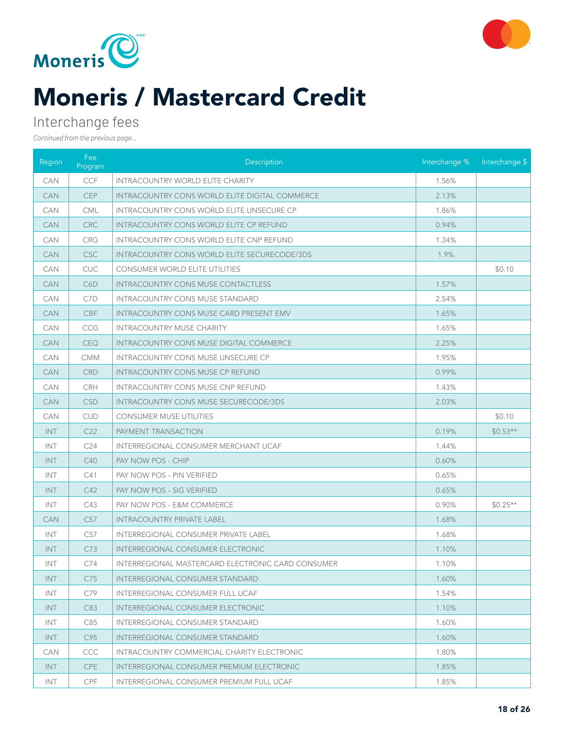



# Moneris / Mastercard Credit

#### Interchange fees

| Region     | Fee<br>Program  | Description                                           | Interchange % | Interchange \$ |
|------------|-----------------|-------------------------------------------------------|---------------|----------------|
| <b>CAN</b> | <b>CCF</b>      | <b>INTRACOUNTRY WORLD ELITE CHARITY</b>               | 1.56%         |                |
| <b>CAN</b> | <b>CEP</b>      | <b>INTRACOUNTRY CONS WORLD ELITE DIGITAL COMMERCE</b> | 2.13%         |                |
| <b>CAN</b> | <b>CML</b>      | INTRACOUNTRY CONS WORLD ELITE UNSECURE CP             | 1.86%         |                |
| <b>CAN</b> | <b>CRC</b>      | <b>INTRACOUNTRY CONS WORLD ELITE CP REFUND</b>        | 0.94%         |                |
| <b>CAN</b> | <b>CRG</b>      | <b>INTRACOUNTRY CONS WORLD ELITE CNP REFUND</b>       | 1.34%         |                |
| <b>CAN</b> | <b>CSC</b>      | INTRACOUNTRY CONS WORLD ELITE SECURECODE/3DS          | 1.9%          |                |
| <b>CAN</b> | ${\sf CUC}$     | CONSUMER WORLD ELITE UTILITIES                        |               | \$0.10         |
| <b>CAN</b> | C6D             | <b>INTRACOUNTRY CONS MUSE CONTACTLESS</b>             | 1.57%         |                |
| <b>CAN</b> | C7D             | <b>INTRACOUNTRY CONS MUSE STANDARD</b>                | 2.54%         |                |
| <b>CAN</b> | <b>CBF</b>      | <b>INTRACOUNTRY CONS MUSE CARD PRESENT EMV</b>        | 1.65%         |                |
| <b>CAN</b> | <b>CCG</b>      | <b>INTRACOUNTRY MUSE CHARITY</b>                      | 1.65%         |                |
| <b>CAN</b> | <b>CEQ</b>      | INTRACOUNTRY CONS MUSE DIGITAL COMMERCE               | 2.25%         |                |
| <b>CAN</b> | <b>CMM</b>      | <b>INTRACOUNTRY CONS MUSE UNSECURE CP</b>             | 1.95%         |                |
| <b>CAN</b> | <b>CRD</b>      | <b>INTRACOUNTRY CONS MUSE CP REFUND</b>               | 0.99%         |                |
| <b>CAN</b> | <b>CRH</b>      | <b>INTRACOUNTRY CONS MUSE CNP REFUND</b>              | 1.43%         |                |
| <b>CAN</b> | <b>CSD</b>      | <b>INTRACOUNTRY CONS MUSE SECURECODE/3DS</b>          | 2.03%         |                |
| <b>CAN</b> | <b>CUD</b>      | <b>CONSUMER MUSE UTILITIES</b>                        |               | \$0.10         |
| INT        | C <sub>22</sub> | <b>PAYMENT TRANSACTION</b>                            | 0.19%         | $$0.53**$      |
| <b>INT</b> | C <sub>24</sub> | INTERREGIONAL CONSUMER MERCHANT UCAF                  | 1.44%         |                |
| <b>INT</b> | C40             | PAY NOW POS - CHIP                                    | 0.60%         |                |
| <b>INT</b> | C41             | PAY NOW POS - PIN VERIFIED                            | 0.65%         |                |
| <b>INT</b> | C42             | PAY NOW POS - SIG VERIFIED                            | 0.65%         |                |
| <b>INT</b> | C43             | PAY NOW POS - E&M COMMERCE                            | 0.90%         | $$0.25**$      |
| <b>CAN</b> | C57             | <b>INTRACOUNTRY PRIVATE LABEL</b>                     | 1.68%         |                |
| <b>INT</b> | C57             | INTERREGIONAL CONSUMER PRIVATE LABEL                  | 1.68%         |                |
| <b>INT</b> | C73             | <b>INTERREGIONAL CONSUMER ELECTRONIC</b>              | 1.10%         |                |
| INT        | C74             | INTERREGIONAL MASTERCARD ELECTRONIC CARD CONSUMER     | 1.10%         |                |
| INT.       | C75             | INTERREGIONAL CONSUMER STANDARD                       | 1.60%         |                |
| INT        | C79             | INTERREGIONAL CONSUMER FULL UCAF                      | 1.54%         |                |
| INT        | C83             | INTERREGIONAL CONSUMER ELECTRONIC                     | 1.10%         |                |
| INT        | C85             | INTERREGIONAL CONSUMER STANDARD                       | 1.60%         |                |
| INT        | C95             | <b>INTERREGIONAL CONSUMER STANDARD</b>                | 1.60%         |                |
| <b>CAN</b> | CCC             | INTRACOUNTRY COMMERCIAL CHARITY ELECTRONIC            | 1.80%         |                |
| INT        | CPE             | <b>INTERREGIONAL CONSUMER PREMIUM ELECTRONIC</b>      | 1.85%         |                |
| INT.       | <b>CPF</b>      | INTERREGIONAL CONSUMER PREMIUM FULL UCAF              | 1.85%         |                |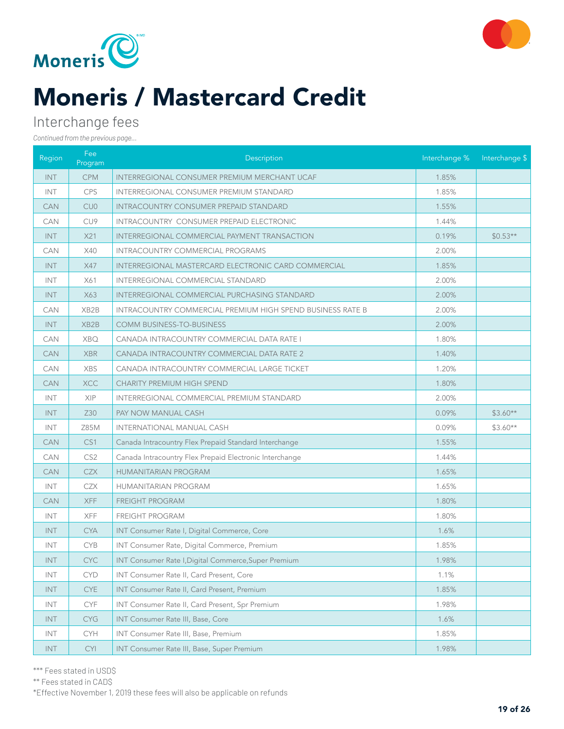



# Moneris / Mastercard Credit

#### Interchange fees

*Continued from the previous page...*

| Region     | Fee<br>Program    | Description                                                       | Interchange % | Interchange \$ |
|------------|-------------------|-------------------------------------------------------------------|---------------|----------------|
| INT.       | <b>CPM</b>        | <b>INTERREGIONAL CONSUMER PREMIUM MERCHANT UCAF</b>               | 1.85%         |                |
| <b>INT</b> | <b>CPS</b>        | <b>INTERREGIONAL CONSUMER PREMIUM STANDARD</b>                    | 1.85%         |                |
| <b>CAN</b> | CU <sub>0</sub>   | <b>INTRACOUNTRY CONSUMER PREPAID STANDARD</b>                     | 1.55%         |                |
| <b>CAN</b> | CU <sub>9</sub>   | INTRACOUNTRY CONSUMER PREPAID ELECTRONIC                          | 1.44%         |                |
| <b>INT</b> | X21               | INTERREGIONAL COMMERCIAL PAYMENT TRANSACTION                      | 0.19%         | $$0.53**$      |
| <b>CAN</b> | X40               | <b>INTRACOUNTRY COMMERCIAL PROGRAMS</b>                           | 2.00%         |                |
| <b>INT</b> | X47               | <b>INTERREGIONAL MASTERCARD ELECTRONIC CARD COMMERCIAL</b>        | 1.85%         |                |
| <b>INT</b> | X61               | INTERREGIONAL COMMERCIAL STANDARD                                 | 2.00%         |                |
| INT.       | X63               | INTERREGIONAL COMMERCIAL PURCHASING STANDARD                      | 2.00%         |                |
| <b>CAN</b> | XB <sub>2</sub> B | <b>INTRACOUNTRY COMMERCIAL PREMIUM HIGH SPEND BUSINESS RATE B</b> | 2.00%         |                |
| <b>INT</b> | XB <sub>2</sub> B | COMM BUSINESS-TO-BUSINESS                                         | 2.00%         |                |
| <b>CAN</b> | <b>XBQ</b>        | CANADA INTRACOUNTRY COMMERCIAL DATA RATE I                        | 1.80%         |                |
| <b>CAN</b> | <b>XBR</b>        | CANADA INTRACOUNTRY COMMERCIAL DATA RATE 2                        | 1.40%         |                |
| <b>CAN</b> | <b>XBS</b>        | CANADA INTRACOUNTRY COMMERCIAL LARGE TICKET                       | 1.20%         |                |
| <b>CAN</b> | <b>XCC</b>        | <b>CHARITY PREMIUM HIGH SPEND</b>                                 | 1.80%         |                |
| <b>INT</b> | XIP               | INTERREGIONAL COMMERCIAL PREMIUM STANDARD                         | 2.00%         |                |
| <b>INT</b> | Z30               | PAY NOW MANUAL CASH                                               | 0.09%         | $$3.60**$      |
| <b>INT</b> | Z85M              | INTERNATIONAL MANUAL CASH                                         | 0.09%         | $$3.60**$      |
| <b>CAN</b> | CS <sub>1</sub>   | Canada Intracountry Flex Prepaid Standard Interchange             | 1.55%         |                |
| <b>CAN</b> | CS <sub>2</sub>   | Canada Intracountry Flex Prepaid Electronic Interchange           | 1.44%         |                |
| <b>CAN</b> | <b>CZX</b>        | <b>HUMANITARIAN PROGRAM</b>                                       | 1.65%         |                |
| INT        | <b>CZX</b>        | HUMANITARIAN PROGRAM                                              | 1.65%         |                |
| <b>CAN</b> | <b>XFF</b>        | FREIGHT PROGRAM                                                   | 1.80%         |                |
| <b>INT</b> | <b>XFF</b>        | <b>FREIGHT PROGRAM</b>                                            | 1.80%         |                |
| <b>INT</b> | <b>CYA</b>        | INT Consumer Rate I, Digital Commerce, Core                       | 1.6%          |                |
| <b>INT</b> | <b>CYB</b>        | INT Consumer Rate, Digital Commerce, Premium                      | 1.85%         |                |
| <b>INT</b> | <b>CYC</b>        | INT Consumer Rate I, Digital Commerce, Super Premium              | 1.98%         |                |
| INT        | <b>CYD</b>        | INT Consumer Rate II, Card Present, Core                          | 1.1%          |                |
| <b>INT</b> | <b>CYE</b>        | INT Consumer Rate II, Card Present, Premium                       | 1.85%         |                |
| INT        | <b>CYF</b>        | INT Consumer Rate II, Card Present, Spr Premium                   | 1.98%         |                |
| INT        | <b>CYG</b>        | INT Consumer Rate III, Base, Core                                 | 1.6%          |                |
| INT        | <b>CYH</b>        | INT Consumer Rate III, Base, Premium                              | 1.85%         |                |
| <b>INT</b> | <b>CYI</b>        | INT Consumer Rate III, Base, Super Premium                        | 1.98%         |                |

\*Effective November 1, 2019 these fees will also be applicable on refunds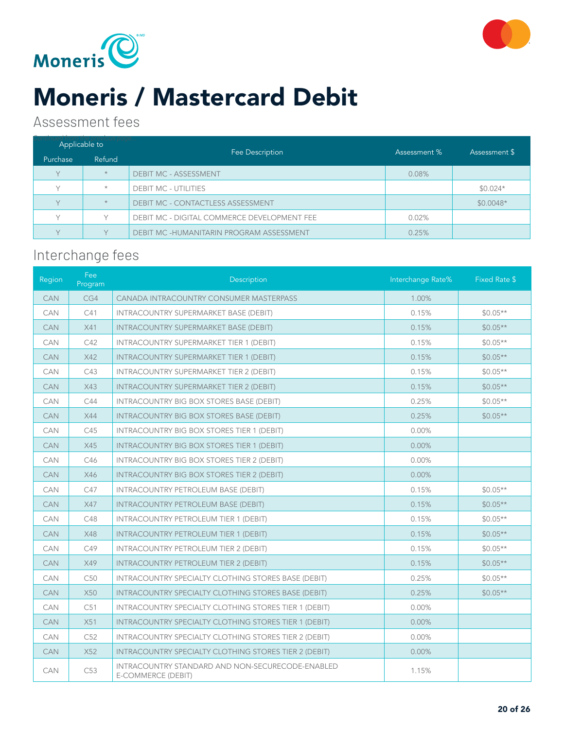



### Moneris / Mastercard Debit

#### Assessment fees

| Applicable to |              |                                                    | Assessment % |               |
|---------------|--------------|----------------------------------------------------|--------------|---------------|
| Purchase      | Refund       | Fee Description                                    |              | Assessment \$ |
| $\vee$        | $\star$      | <b>DEBIT MC - ASSESSMENT</b>                       | 0.08%        |               |
|               | $\star$      | <b>DEBIT MC - UTILITIES</b>                        |              | $$0.024*$     |
| $\vee$        | $\star$      | DEBIT MC - CONTACTLESS ASSESSMENT                  |              | $$0.0048*$    |
| $\vee$        | $\checkmark$ | <b>DEBIT MC - DIGITAL COMMERCE DEVELOPMENT FEE</b> | 0.02%        |               |
| $\vee$        | $\checkmark$ | DEBIT MC -HUMANITARIN PROGRAM ASSESSMENT           | 0.25%        |               |

#### Interchange fees

| Region     | Fee<br>Program | Description                                                            | Interchange Rate% | Fixed Rate \$ |
|------------|----------------|------------------------------------------------------------------------|-------------------|---------------|
| <b>CAN</b> | CG4            | CANADA INTRACOUNTRY CONSUMER MASTERPASS                                | 1.00%             |               |
| CAN        | C41            | <b>INTRACOUNTRY SUPERMARKET BASE (DEBIT)</b>                           | 0.15%             | $$0.05**$     |
| <b>CAN</b> | X41            | INTRACOUNTRY SUPERMARKET BASE (DEBIT)                                  | 0.15%             | $$0.05**$     |
| <b>CAN</b> | C42            | INTRACOUNTRY SUPERMARKET TIER 1 (DEBIT)                                | 0.15%             | $$0.05**$     |
| <b>CAN</b> | X42            | <b>INTRACOUNTRY SUPERMARKET TIER 1 (DEBIT)</b>                         | 0.15%             | $$0.05**$     |
| <b>CAN</b> | C43            | INTRACOUNTRY SUPERMARKET TIER 2 (DEBIT)                                | 0.15%             | $$0.05**$     |
| <b>CAN</b> | X43            | INTRACOUNTRY SUPERMARKET TIER 2 (DEBIT)                                | 0.15%             | $$0.05**$$    |
| <b>CAN</b> | C44            | <b>INTRACOUNTRY BIG BOX STORES BASE (DEBIT)</b>                        | 0.25%             | $$0.05**$     |
| <b>CAN</b> | <b>X44</b>     | INTRACOUNTRY BIG BOX STORES BASE (DEBIT)                               | 0.25%             | $$0.05**$     |
| <b>CAN</b> | C45            | INTRACOUNTRY BIG BOX STORES TIER 1 (DEBIT)                             | 0.00%             |               |
| <b>CAN</b> | X45            | INTRACOUNTRY BIG BOX STORES TIER 1 (DEBIT)                             | 0.00%             |               |
| <b>CAN</b> | C46            | INTRACOUNTRY BIG BOX STORES TIER 2 (DEBIT)                             | 0.00%             |               |
| <b>CAN</b> | X46            | INTRACOUNTRY BIG BOX STORES TIER 2 (DEBIT)                             | 0.00%             |               |
| <b>CAN</b> | C47            | INTRACOUNTRY PETROLEUM BASE (DEBIT)                                    | 0.15%             | $$0.05**$     |
| <b>CAN</b> | X47            | INTRACOUNTRY PETROLEUM BASE (DEBIT)                                    | 0.15%             | $$0.05**$     |
| <b>CAN</b> | C48            | <b>INTRACOUNTRY PETROLEUM TIER 1 (DEBIT)</b>                           | 0.15%             | $$0.05**$     |
| <b>CAN</b> | X48            | <b>INTRACOUNTRY PETROLEUM TIER 1 (DEBIT)</b>                           | 0.15%             | $$0.05**$     |
| <b>CAN</b> | C49            | INTRACOUNTRY PETROLEUM TIER 2 (DEBIT)                                  | 0.15%             | $$0.05**$     |
| <b>CAN</b> | X49            | <b>INTRACOUNTRY PETROLEUM TIER 2 (DEBIT)</b>                           | 0.15%             | $$0.05**$     |
| <b>CAN</b> | C50            | INTRACOUNTRY SPECIALTY CLOTHING STORES BASE (DEBIT)                    | 0.25%             | $$0.05**$     |
| <b>CAN</b> | <b>X50</b>     | INTRACOUNTRY SPECIALTY CLOTHING STORES BASE (DEBIT)                    | 0.25%             | $$0.05**$     |
| <b>CAN</b> | C51            | INTRACOUNTRY SPECIALTY CLOTHING STORES TIER 1 (DEBIT)                  | 0.00%             |               |
| <b>CAN</b> | X51            | INTRACOUNTRY SPECIALTY CLOTHING STORES TIER 1 (DEBIT)                  | 0.00%             |               |
| <b>CAN</b> | C52            | INTRACOUNTRY SPECIALTY CLOTHING STORES TIER 2 (DEBIT)                  | 0.00%             |               |
| <b>CAN</b> | X52            | INTRACOUNTRY SPECIALTY CLOTHING STORES TIER 2 (DEBIT)                  | 0.00%             |               |
| <b>CAN</b> | C53            | INTRACOUNTRY STANDARD AND NON-SECURECODE-ENABLED<br>E-COMMERCE (DEBIT) | 1.15%             |               |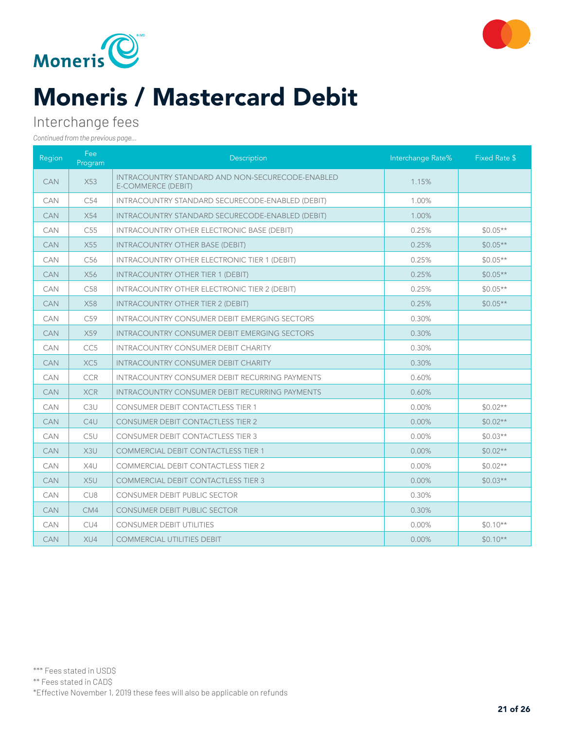



# Moneris / Mastercard Debit

#### Interchange fees

| Region     | Fee:<br>Program  | Description                                                                          | Interchange Rate% | Fixed Rate \$ |
|------------|------------------|--------------------------------------------------------------------------------------|-------------------|---------------|
| <b>CAN</b> | X53              | <b>INTRACOUNTRY STANDARD AND NON-SECURECODE-ENABLED</b><br><b>E-COMMERCE (DEBIT)</b> | 1.15%             |               |
| CAN        | C54              | INTRACOUNTRY STANDARD SECURECODE-ENABLED (DEBIT)                                     | 1.00%             |               |
| <b>CAN</b> | X54              | INTRACOUNTRY STANDARD SECURECODE-ENABLED (DEBIT)                                     | 1.00%             |               |
| <b>CAN</b> | C <sub>55</sub>  | INTRACOUNTRY OTHER ELECTRONIC BASE (DEBIT)                                           | 0.25%             | $$0.05**$$    |
| <b>CAN</b> | X55              | <b>INTRACOUNTRY OTHER BASE (DEBIT)</b>                                               | 0.25%             | $$0.05**$     |
| <b>CAN</b> | C <sub>56</sub>  | INTRACOUNTRY OTHER ELECTRONIC TIER 1 (DEBIT)                                         | 0.25%             | $$0.05**$$    |
| <b>CAN</b> | X56              | <b>INTRACOUNTRY OTHER TIER 1 (DEBIT)</b>                                             | 0.25%             | $$0.05**$     |
| <b>CAN</b> | C <sub>58</sub>  | <b>INTRACOUNTRY OTHER ELECTRONIC TIER 2 (DEBIT)</b>                                  | 0.25%             | $$0.05**$     |
| <b>CAN</b> | X58              | <b>INTRACOUNTRY OTHER TIER 2 (DEBIT)</b>                                             | 0.25%             | $$0.05**$     |
| <b>CAN</b> | C59              | <b>INTRACOUNTRY CONSUMER DEBIT EMERGING SECTORS</b>                                  | 0.30%             |               |
| <b>CAN</b> | X59              | <b>INTRACOUNTRY CONSUMER DEBIT EMERGING SECTORS</b>                                  | 0.30%             |               |
| CAN        | CC <sub>5</sub>  | <b>INTRACOUNTRY CONSUMER DEBIT CHARITY</b>                                           | 0.30%             |               |
| <b>CAN</b> | XC <sub>5</sub>  | <b>INTRACOUNTRY CONSUMER DEBIT CHARITY</b>                                           | 0.30%             |               |
| CAN        | <b>CCR</b>       | <b>INTRACOUNTRY CONSUMER DEBIT RECURRING PAYMENTS</b>                                | 0.60%             |               |
| <b>CAN</b> | <b>XCR</b>       | INTRACOUNTRY CONSUMER DEBIT RECURRING PAYMENTS                                       | 0.60%             |               |
| CAN        | C <sub>3</sub> U | <b>CONSUMER DEBIT CONTACTLESS TIER 1</b>                                             | 0.00%             | $$0.02**$     |
| <b>CAN</b> | C <sub>4U</sub>  | <b>CONSUMER DEBIT CONTACTLESS TIER 2</b>                                             | 0.00%             | $$0.02**$     |
| <b>CAN</b> | C <sub>5U</sub>  | <b>CONSUMER DEBIT CONTACTLESS TIER 3</b>                                             | 0.00%             | $$0.03**$     |
| <b>CAN</b> | X3U              | <b>COMMERCIAL DEBIT CONTACTLESS TIER 1</b>                                           | 0.00%             | $$0.02**$     |
| <b>CAN</b> | X4U              | <b>COMMERCIAL DEBIT CONTACTLESS TIER 2</b>                                           | $0.00\%$          | $$0.02**$     |
| <b>CAN</b> | X <sub>5U</sub>  | <b>COMMERCIAL DEBIT CONTACTLESS TIER 3</b>                                           | $0.00\%$          | $$0.03**$     |
| CAN        | CU <sub>8</sub>  | CONSUMER DEBIT PUBLIC SECTOR                                                         | 0.30%             |               |
| <b>CAN</b> | CM4              | <b>CONSUMER DEBIT PUBLIC SECTOR</b>                                                  | 0.30%             |               |
| CAN        | CU4              | <b>CONSUMER DEBIT UTILITIES</b>                                                      | 0.00%             | $$0.10**$     |
| <b>CAN</b> | XU4              | <b>COMMERCIAL UTILITIES DEBIT</b>                                                    | 0.00%             | $$0.10**$     |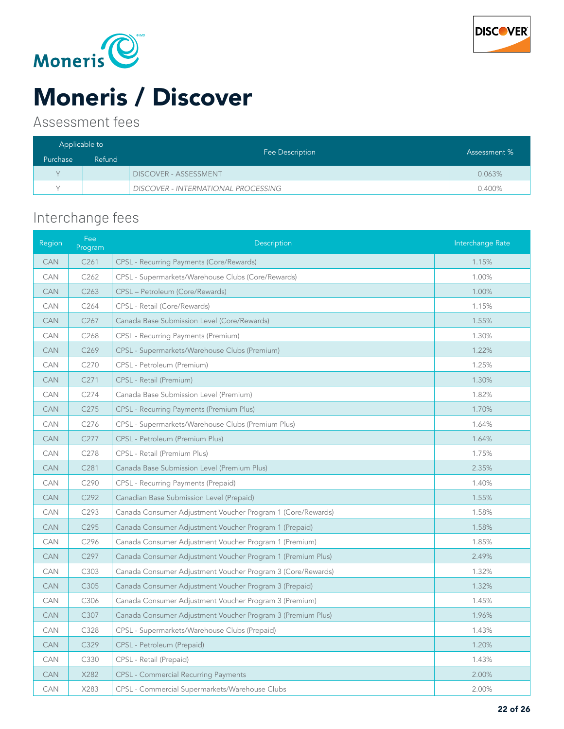



# Moneris / Discover

#### Assessment fees

| Applicable to |        |                                            |              |
|---------------|--------|--------------------------------------------|--------------|
| Purchase      | Refund | Fee Description                            | Assessment % |
| $\vee$        |        | <b>DISCOVER - ASSESSMENT</b>               | 0.063%       |
|               |        | <b>DISCOVER - INTERNATIONAL PROCESSING</b> | 0.400%       |

### Interchange fees

| Region     | Fee<br>Program   | Description                                                 | Interchange Rate |
|------------|------------------|-------------------------------------------------------------|------------------|
| <b>CAN</b> | C <sub>261</sub> | <b>CPSL - Recurring Payments (Core/Rewards)</b>             | 1.15%            |
| CAN        | C262             | CPSL - Supermarkets/Warehouse Clubs (Core/Rewards)          | 1.00%            |
| <b>CAN</b> | C <sub>263</sub> | CPSL - Petroleum (Core/Rewards)                             | 1.00%            |
| CAN        | C264             | CPSL - Retail (Core/Rewards)                                | 1.15%            |
| <b>CAN</b> | C267             | Canada Base Submission Level (Core/Rewards)                 | 1.55%            |
| <b>CAN</b> | C <sub>268</sub> | CPSL - Recurring Payments (Premium)                         | 1.30%            |
| <b>CAN</b> | C269             | CPSL - Supermarkets/Warehouse Clubs (Premium)               | 1.22%            |
| CAN        | C270             | CPSL - Petroleum (Premium)                                  | 1.25%            |
| <b>CAN</b> | C <sub>271</sub> | CPSL - Retail (Premium)                                     | 1.30%            |
| CAN        | C274             | Canada Base Submission Level (Premium)                      | 1.82%            |
| <b>CAN</b> | C275             | <b>CPSL - Recurring Payments (Premium Plus)</b>             | 1.70%            |
| CAN        | C276             | CPSL - Supermarkets/Warehouse Clubs (Premium Plus)          | 1.64%            |
| <b>CAN</b> | C <sub>277</sub> | CPSL - Petroleum (Premium Plus)                             | 1.64%            |
| CAN        | C278             | CPSL - Retail (Premium Plus)                                | 1.75%            |
| <b>CAN</b> | C281             | Canada Base Submission Level (Premium Plus)                 | 2.35%            |
| <b>CAN</b> | C290             | CPSL - Recurring Payments (Prepaid)                         | 1.40%            |
| <b>CAN</b> | C292             | Canadian Base Submission Level (Prepaid)                    | 1.55%            |
| <b>CAN</b> | C293             | Canada Consumer Adjustment Voucher Program 1 (Core/Rewards) | 1.58%            |
| <b>CAN</b> | C295             | Canada Consumer Adjustment Voucher Program 1 (Prepaid)      | 1.58%            |
| CAN        | C296             | Canada Consumer Adjustment Voucher Program 1 (Premium)      | 1.85%            |
| <b>CAN</b> | C297             | Canada Consumer Adjustment Voucher Program 1 (Premium Plus) | 2.49%            |
| <b>CAN</b> | C303             | Canada Consumer Adjustment Voucher Program 3 (Core/Rewards) | 1.32%            |
| <b>CAN</b> | C305             | Canada Consumer Adjustment Voucher Program 3 (Prepaid)      | 1.32%            |
| <b>CAN</b> | C306             | Canada Consumer Adjustment Voucher Program 3 (Premium)      | 1.45%            |
| <b>CAN</b> | C307             | Canada Consumer Adjustment Voucher Program 3 (Premium Plus) | 1.96%            |
| CAN        | C328             | CPSL - Supermarkets/Warehouse Clubs (Prepaid)               | 1.43%            |
| <b>CAN</b> | C329             | CPSL - Petroleum (Prepaid)                                  | 1.20%            |
| CAN        | C330             | CPSL - Retail (Prepaid)                                     | 1.43%            |
| <b>CAN</b> | X282             | <b>CPSL - Commercial Recurring Payments</b>                 | 2.00%            |
| CAN        | X283             | CPSL - Commercial Supermarkets/Warehouse Clubs              | 2.00%            |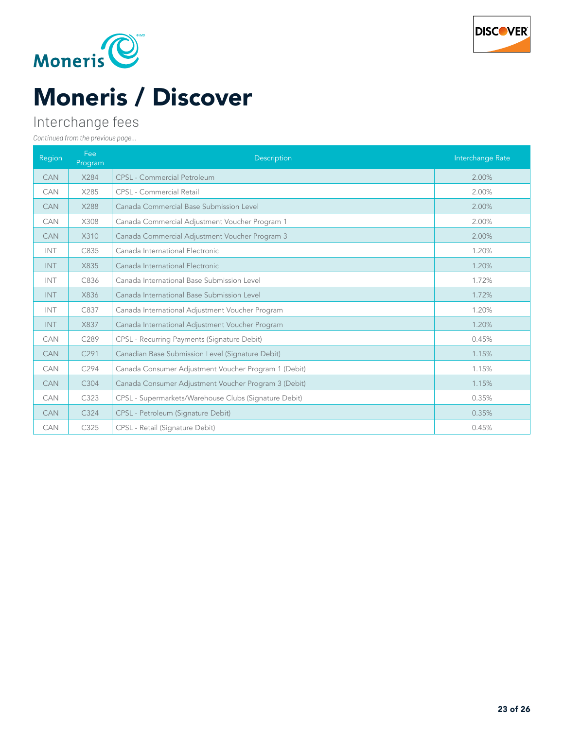



# Moneris / Discover

### Interchange fees

| Region     | Fee<br>Program   | Description                                           | Interchange Rate |
|------------|------------------|-------------------------------------------------------|------------------|
| <b>CAN</b> | X284             | <b>CPSL</b> - Commercial Petroleum                    | 2.00%            |
| <b>CAN</b> | X285             | <b>CPSL - Commercial Retail</b>                       | 2.00%            |
| <b>CAN</b> | X288             | Canada Commercial Base Submission Level               | 2.00%            |
| <b>CAN</b> | X308             | Canada Commercial Adjustment Voucher Program 1        | 2.00%            |
| <b>CAN</b> | X310             | Canada Commercial Adjustment Voucher Program 3        | 2.00%            |
| <b>INT</b> | C835             | Canada International Electronic                       | 1.20%            |
| <b>INT</b> | X835             | Canada International Electronic                       | 1.20%            |
| <b>INT</b> | C836             | Canada International Base Submission Level            | 1.72%            |
| <b>INT</b> | X836             | Canada International Base Submission Level            | 1.72%            |
| INT        | C837             | Canada International Adjustment Voucher Program       | 1.20%            |
| INT        | X837             | Canada International Adjustment Voucher Program       | 1.20%            |
| <b>CAN</b> | C289             | CPSL - Recurring Payments (Signature Debit)           | 0.45%            |
| <b>CAN</b> | C <sub>291</sub> | Canadian Base Submission Level (Signature Debit)      | 1.15%            |
| <b>CAN</b> | C294             | Canada Consumer Adjustment Voucher Program 1 (Debit)  | 1.15%            |
| <b>CAN</b> | C <sub>304</sub> | Canada Consumer Adjustment Voucher Program 3 (Debit)  | 1.15%            |
| CAN        | C323             | CPSL - Supermarkets/Warehouse Clubs (Signature Debit) | 0.35%            |
| <b>CAN</b> | C324             | CPSL - Petroleum (Signature Debit)                    | 0.35%            |
| CAN        | C325             | CPSL - Retail (Signature Debit)                       | 0.45%            |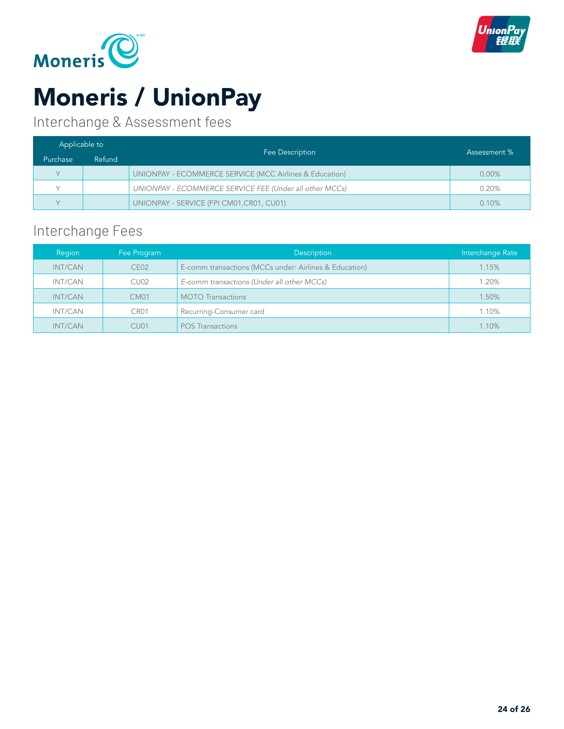



# Moneris / UnionPay

Interchange & Assessment fees

| Applicable to |        |                                                         | Assessment % |
|---------------|--------|---------------------------------------------------------|--------------|
| Purchase      | Refund | Fee Description                                         |              |
| $\vee$        |        | UNIONPAY - ECOMMERCE SERVICE (MCC Airlines & Education) | $0.00\%$     |
|               |        | UNIONPAY - ECOMMERCE SERVICE FEE (Under all other MCCs) | 0.20%        |
| $\vee$        |        | UNIONPAY - SERVICE (FPI CM01, CR01, CU01)               | 0.10%        |

### Interchange Fees

| Region  | Fee Program      | <b>Description</b>                                     | Interchange Rate |
|---------|------------------|--------------------------------------------------------|------------------|
| INT/CAN | CEO2             | E-comm transactions (MCCs under: Airlines & Education) | 1.15%            |
| INT/CAN | CU <sub>02</sub> | E-comm transactions (Under all other MCCs)             | 1.20%            |
| INT/CAN | <b>CM01</b>      | <b>MOTO Transactions</b>                               | 1.50%            |
| INT/CAN | CR <sub>01</sub> | Recurring-Consumer card                                | 1.10%            |
| INT/CAN | CU <sub>01</sub> | <b>POS Transactions</b>                                | 1.10%            |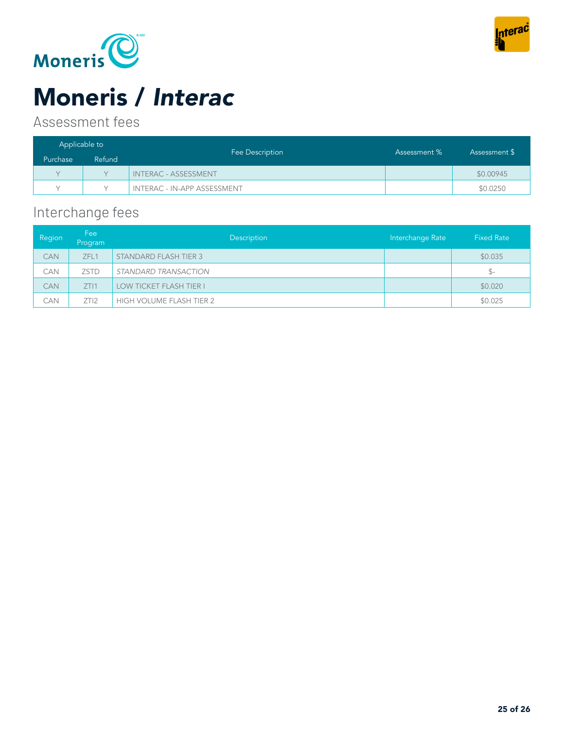



# Moneris / *Interac*

### Assessment fees

| Applicable to |        |                                    |              |               |
|---------------|--------|------------------------------------|--------------|---------------|
| Purchase      | Refund | Fee Description                    | Assessment % | Assessment \$ |
| $\vee$        |        | <b>INTERAC - ASSESSMENT</b>        |              | \$0.00945     |
|               |        | <b>INTERAC - IN-APP ASSESSMENT</b> |              | \$0.0250      |

### Interchange fees

| Region     | Fee<br>Program | Description                    | Interchange Rate | <b>Fixed Rate</b> |
|------------|----------------|--------------------------------|------------------|-------------------|
| <b>CAN</b> | ZFL1           | <b>STANDARD FLASH TIER 3</b>   |                  | \$0.035           |
| CAN        | <b>ZSTD</b>    | STANDARD TRANSACTION           |                  | $S-$              |
| <b>CAN</b> | ZTI1           | <b>LOW TICKET FLASH TIER I</b> |                  | \$0.020           |
| CAN        | ZTI2           | HIGH VOLUME FLASH TIER 2       |                  | \$0.025           |